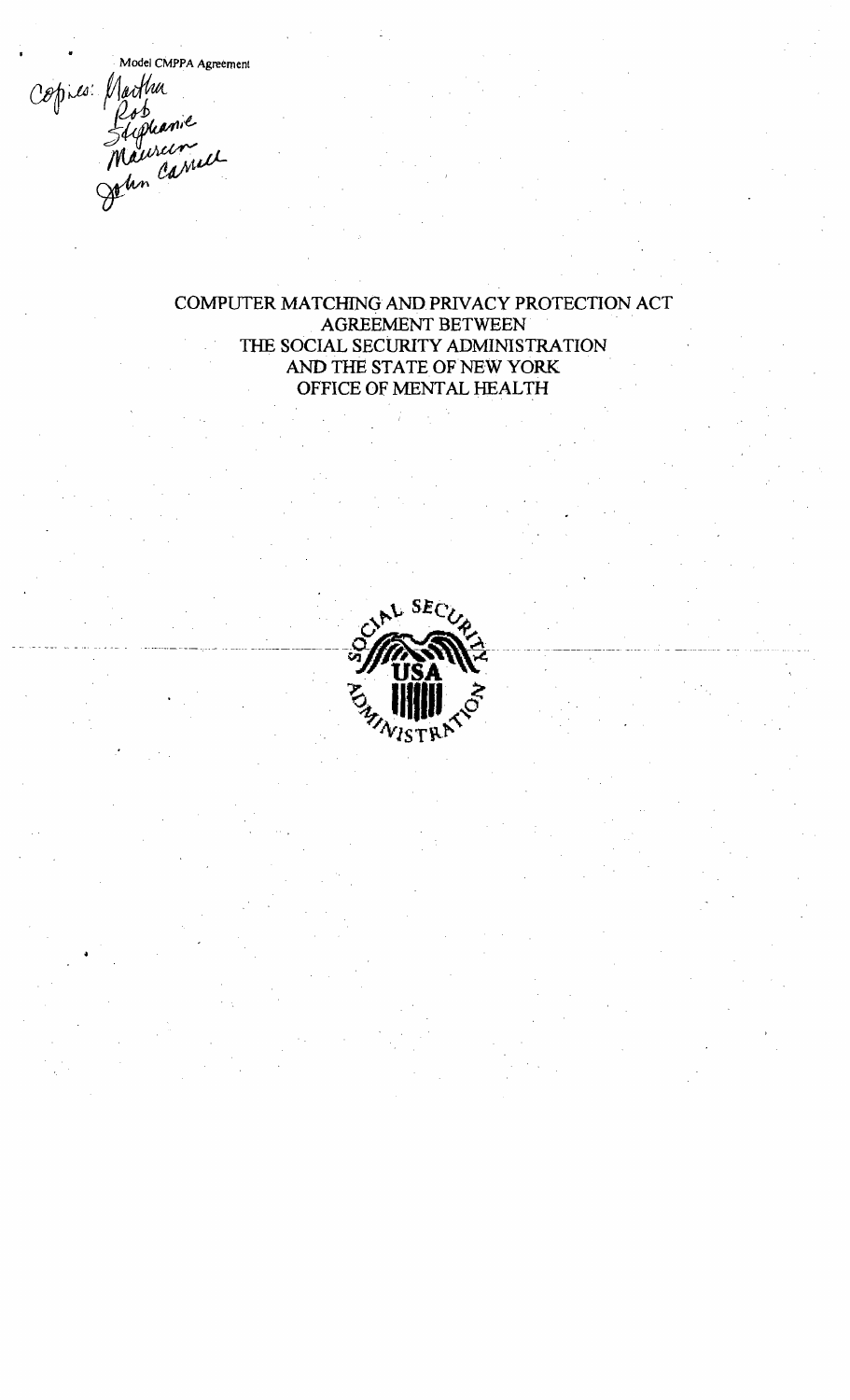Model CMPPA Agreement Copies Marthur<br>Suphanne<br>Maureume

## COMPUTER MATCHING AND PRIVACY PROTECTION ACT AGREEMENT BETWEEN THE SOCIAL SECURITY ADMINISTRATION AND THE STATE OF NEW YORK OFFICE OF MENTAL HEALTH

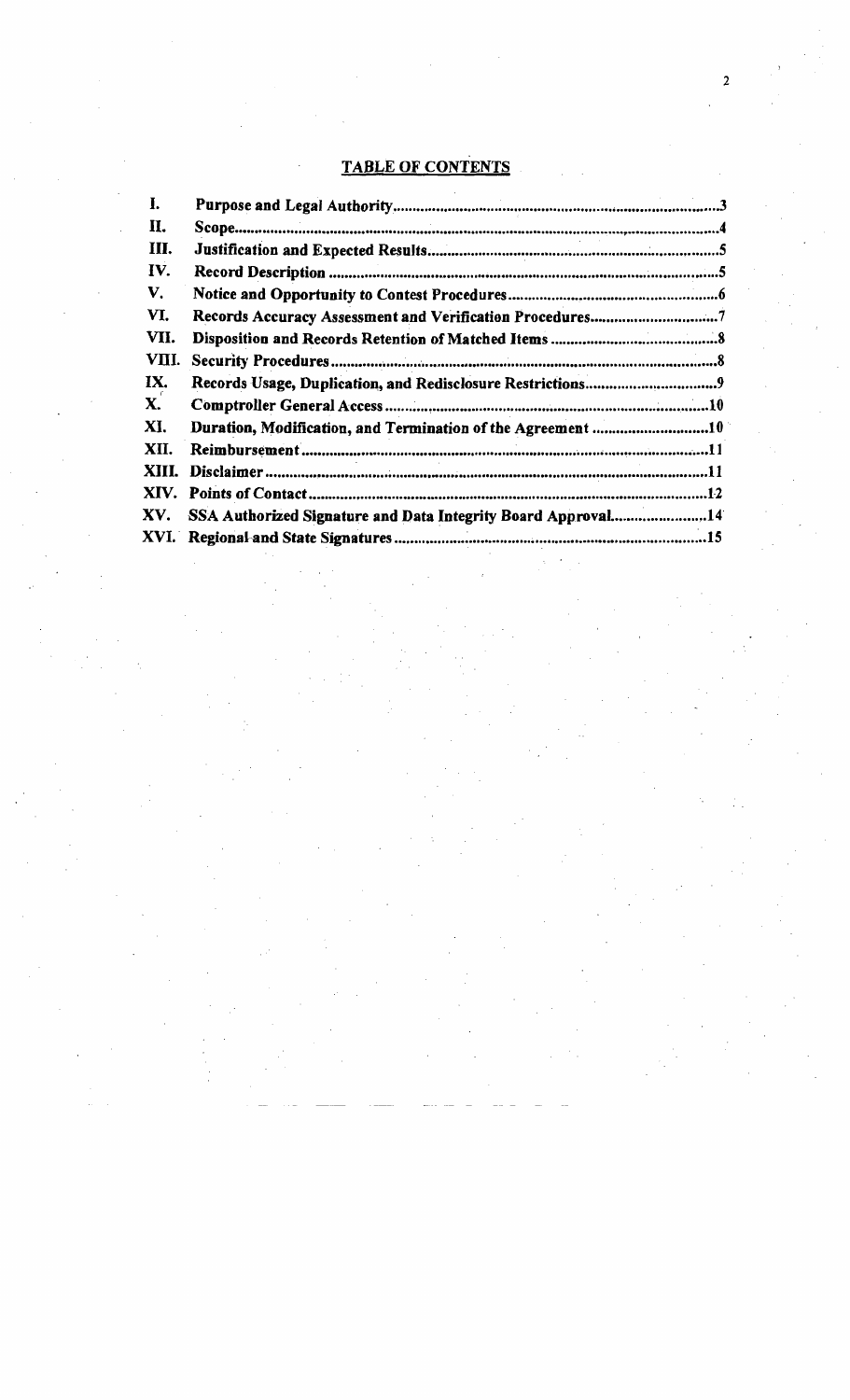# TABLE OF CONTENTS

| I.    |                                                                  |  |
|-------|------------------------------------------------------------------|--|
| П.    |                                                                  |  |
| III.  |                                                                  |  |
| IV.   |                                                                  |  |
| V.    |                                                                  |  |
| VI.   |                                                                  |  |
| VII.  |                                                                  |  |
| VIII. |                                                                  |  |
| IX.   |                                                                  |  |
| X.    |                                                                  |  |
| XI.   | Duration, Modification, and Termination of the Agreement 10      |  |
| XII.  |                                                                  |  |
| XIII. |                                                                  |  |
|       |                                                                  |  |
|       | XV. SSA Authorized Signature and Data Integrity Board Approval14 |  |
|       |                                                                  |  |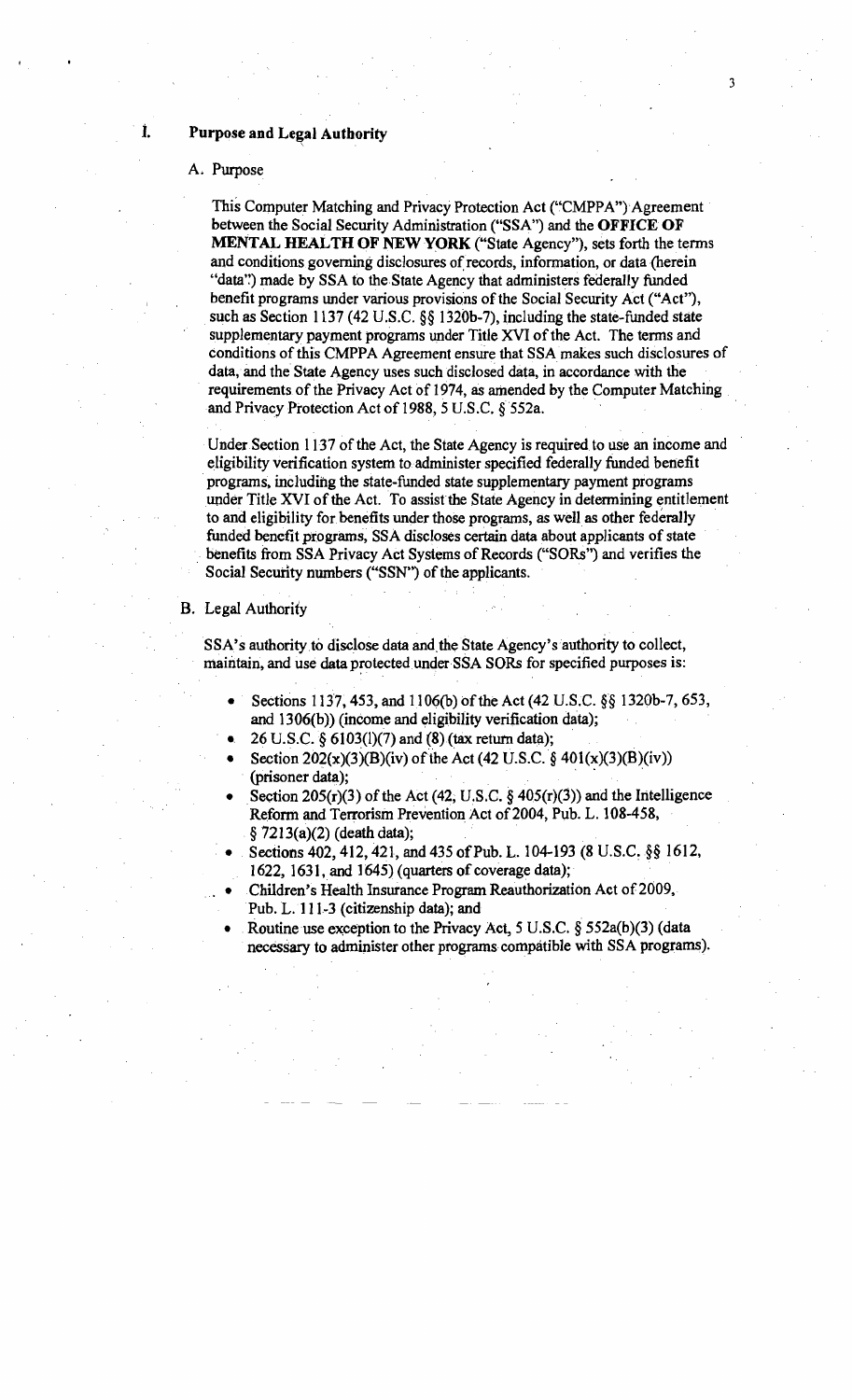## **i.** Purpose and Legal Authority

### A. Purpose

This Computer Matching and Privacy Protection Act ("CMPPA") Agreement . between the Social Security Administration ("SSA") and the **OFFICE OF MENTAL HEALTHOF NEWYORK** ("State Agency"), sets forth the terms and conditions governing disclosures of records, information, or data (herein "data") made by SSA to the State Agency that administers federally funded benefit programs under various provisions of the Social Security Act ("Act"), such as Section 1137 (42 U.S.C. §§ 1320b-7), including the state-funded state supplementary payment programs under Title XVI of the Act. The terms and conditions of this CMPPA Agreement ensure that SSA makes such disclosures of data, and the State Agency uses such disclosed data, in accordance with the requirements of the Privacy Act of 1974, as amended by the Computer Matching and Privacy Protection Act of 1988, 5 U.S.C. § 552a.

Under Section 1137 of the Act, the State Agency is required to use an income and eligibility verification system to administer specified federally funded benefit .programs. including the state-funded state supplementary payment programs under Title XVI of the Act. To assist the State Agency in determining entitlement to and eligibility for benefits under those programs, as well as other federally . funded benefit programs, SSA discloses certain data about applicants of state benefits from SSA Privacy Act Systems of Records ("SORs") and verifies the Social Security numbers ("SSN") of the applicants.

#### B. Legal Authority

SSA's authority to disclose data and the State Agency's authority to collect, maintain, and use data protected under SSA SORs for specified purposes is:

- Sections 1137, 453, and 1106(b) of the Act (42 U.S.C. §§ 1320b-7, 653, and  $1306(b)$ ) (income and eligibility verification data);
- 26 U.S.C.  $\S 6103(1)(7)$  and  $(S)$  (tax return data);
- Section  $202(x)(3)(B)(iv)$  of the Act (42 U.S.C. § 401(x)(3)(B)(iv)) (prisoner data);
- Section 205(r)(3) of the Act (42, U.S.C. §  $405(r)(3)$ ) and the Intelligence Reform and Terrorism Prevention Act of 2004, Pub. L. 108-458, §7213(a)(2) (death data);
- Sections 402, 412, 421, and 435 of Pub. L. 104-193 (8 U.S.C. §§ 1612, 1622, 1631, and 1645) (quarters of coverage data);
- Children's Health Insurance Program Reauthorization Act of 2009, Pub. L. 111-3 (citizenship data); and
- Routine use exception to the Privacy Act,  $5 \text{ U.S.C. }$  §  $552a(b)(3)$  (data necessary to administer other programs compatible with SSA programs).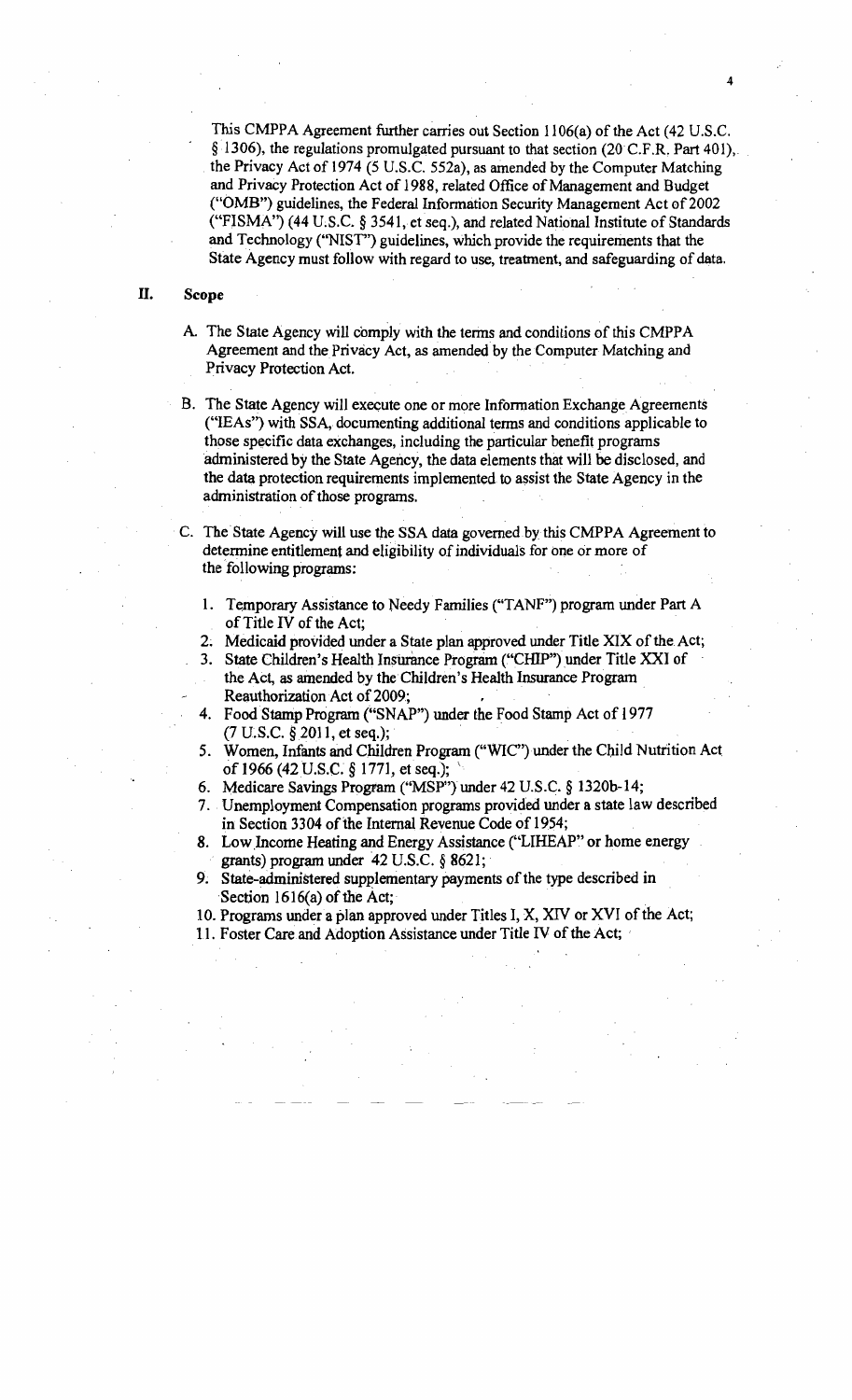This CMPPA Agreement further carries out Section 1106(a) of the Act (42 U.S.C. §1306), the regulations promulgated pursuant to that section (20C.F.R. Part 401),< . the Privacy Act of 1974 (5 U.S.c. 552a), as amended by the Computer Matching and Privacy Protection Act of 1988, related Office of Management and Budget ("OMB") guidelines, the Federal Information Security Management Act of 2002 ("FISMA") (44 U.S.C. § 3541, et seq.), and related National Institute of Standards and Technology ("NIST") guidelines, which provide the requirements that the State Agency must follow with regard to use, treatment, and safeguarding of data.

4

#### II. Scope

A. The State Agency will comply with the terms and conditions of this CMPPA Agreement and the Privacy Act, as amended by the Computer Matching and Privacy Protection Act.

B. The State Agency will execute one or more Information Exchange Agreements ("lEAs") with SSA, documenting additional terms and conditions applicable to those specific data exchanges, including the particular benefit programs administered by the State Agency, the data elements that will be disclosed, and the data protection requirements implemented to assist the State Agency in the administration of those programs.

. C. The State Agency will use the SSA data governed by this CMPPA Agreement to determine entitlement and eligibility of individuals for one or more of the following programs:

. . .

- 1. Temporary Assistance to Needy Families ("TANF") program under Part A of Title IV of the Act;
- 2. Medicaid provided under a State plan approved under Title XIX of the Act;
- 3. State Children's Health Insurance Program ("CHIP") under Title XXI of the Act, as amended by the Children's Health Insurance Program
	- Reauthorization Act of 2009;
- Food Stamp Program ("SNAP") under the Food Stamp Act of 1977  $(7 U.S.C. § 2011, et seq.);$
- 5. Women, Infants and Children Program ("WIC") under the Child Nutrition Act of 1966 (42 U.S.C.  $\S 1771$ , et seq.);
- 6. Medicare Savings Program ("MSP") under 42 U.S.C. § 1320b-14;
- 7.. Unemployment Compensation programs provided under a state law described in Section 3304 of the Internal Revenue Code of 1954; of 1966 (42 U.S.C. § 1771, et seq.);<br>
Medicare Savings Program ("MSP") under 42 U.S.C. § 1320b-14;<br>
Unemployment Compensation programs provided under a state law describe<br>
in Section 3304 of the Internal Revenue Code of 1
- 8. Low Income Heating and Energy Assistance ("LIHEAP" or home energy grants) program under  $42$  U.S.C.  $§$  8621;
- State-administered supplementary payments of the type described in
- 10. Programs under a plan approved under Titles I, X, XIV or XVI of the Act;
- 11. Foster Care and Adoption Assistance under Title IV of the Act;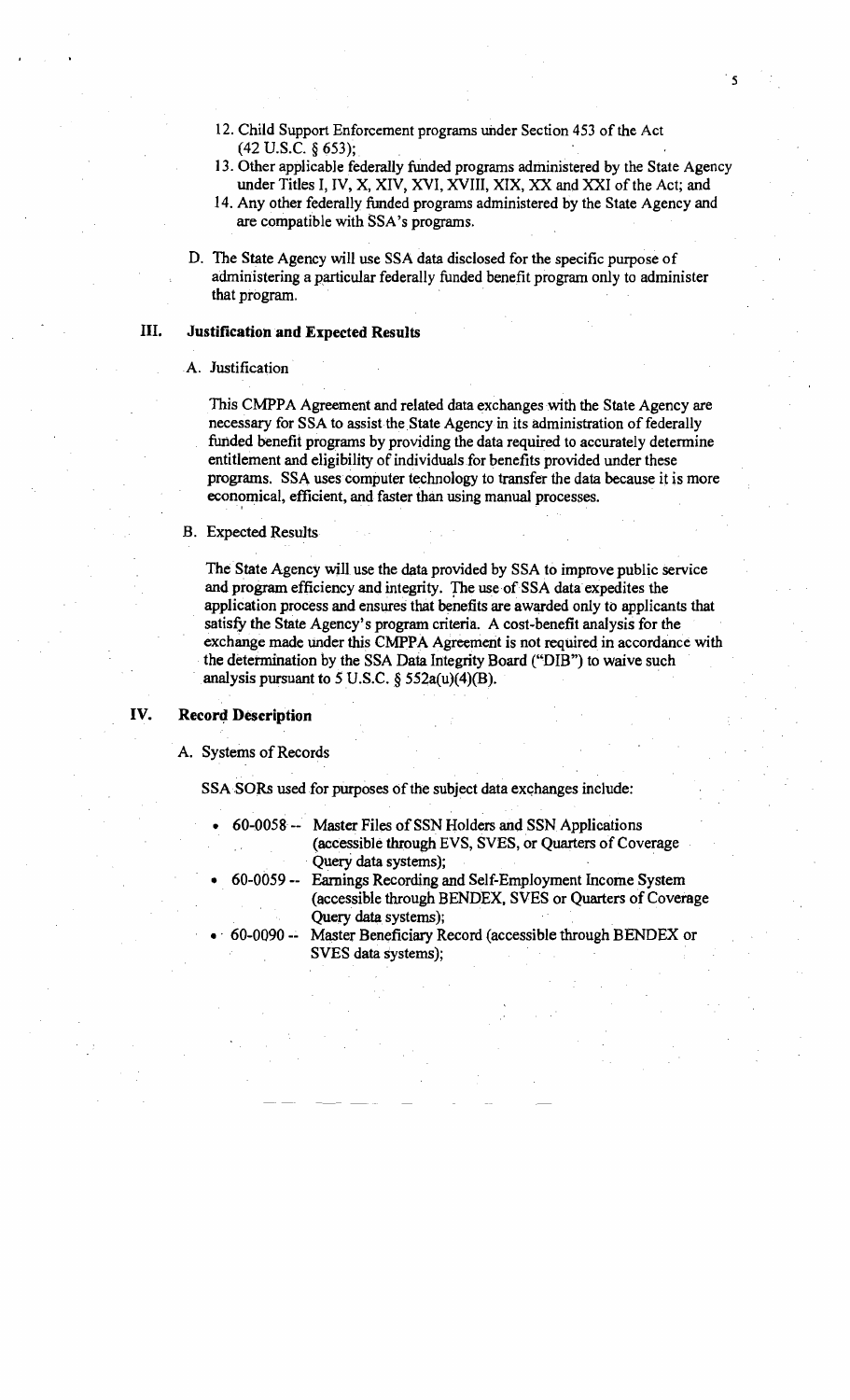- 12. Child Support Enforcement programs under Section 453 of the Act (42 U.S.c. § 653);.
- 13. Other applicable federally funded programs administered by the State Agency under Titles I, IV, X, XIV, XVI, XVIII, XIX, XX and XXI of the Act; and
- 14. Any other federally funded programs administered by the State Agency and are compatible with SSA's programs.
- D. The State Agency will use SSA data disclosed for the specific purpose of administering a particular federally funded benefit program only to administer that program.

#### III. Justification and Expected Results

#### A. Justification

This CMPPA Agreement and related data exchanges with the State Agency are necessary for SSA to assist the State Agency in its administration of federally funded benefit programs by providing the data required to accurately determine entitlement and eligibility of individuals for benefits provided under these programs. SSA uses computer technology to transfer the data because it is more economical, efficient, and faster than using manual processes.

#### B. Expected Results

The State Agency will use the data provided by SSA to improve public service and program efficiency and integrity. The use of SSA data expedites the application process and ensures that benefits are awarded only to applicants that satisfy the State Agency's program criteria. A cost-benefit analysis for the exchange made under this CMPPA Agreement is not required in accordance with . the determination by the SSA Data Integrity Board ("DIB") to waive such analysis pursuant to 5 U.S.C.  $\S$  552a(u)(4)(B). ty the State Agency's program criteria. A cost-benefit analysis for t<br>ange made under this CMPPA Agreement is not required in accords<br>etermination by the SSA Data Integrity Board ("DIB") to waive suce<br>vsis pursuant to 5 U

#### IV. Record Description

#### A. Systems of Records

SSA SORs used for purposes of the subject data exchanges include:

- 60-0058 -- Master Files of SSN Holders and SSN Applications (accessible through EVS, SVES, or Quarters of Coverage . Query data systems); .
	- 60-0059 -- Earnings Recording and Self-Employment Income System (accessible through BENDEX. SVES or Quarters of Coverage Query data systems);
	- 60-0090 -- Master Beneficiary Record (accessible through BENDEX or SVES data systems);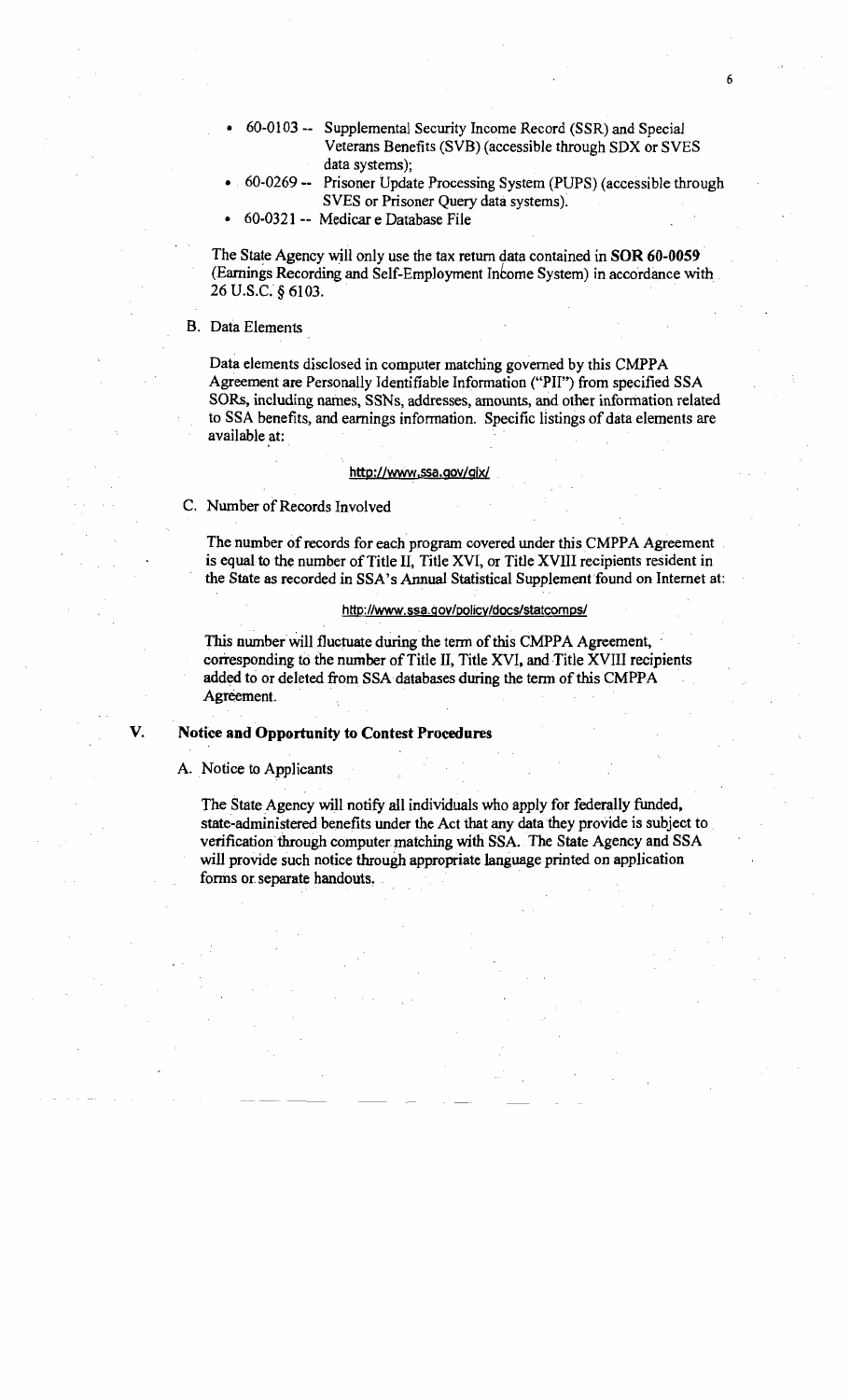- 60-0103 -- Supplemental Security Income Record (SSR) and Special Veterans Benefits (SVB) (accessible through SDX or SVES data systems);
- 60-0269 -- Prisoner Update Processing System (PUPS) (accessible through SVES or Prisoner Query data systems).
- 60-0321 -- Medicar e Database File

The State Agency will only use the tax return data contained in SOR 60-0059 (Earnings Recording and Self-Employment Income System) in accordance with 26 U.S.C. § 6103.

## B. Data Elements

Data elements disclosed in computer matching governed by this CMPPA Agreement are Personally Identifiable Information ("'PII") from specified SSA SORs, including names, SSNs, addresses, amounts, and other information related to SSA benefits, and earnings information. Specific listings of data elements are available at:

#### http://www.ssa.gov/gix/

C. Number of Records Involved

The number of records for each program covered under this CMPPA Agreement is equal to the number of Title II, Title XVI, or Title XVIII recipients resident in the State as recorded in SSA's Annual Statistical Supplement found on Internet at:

#### http://www.ssa.gov/pQlicy/docs/statcomps/

This number will fluctuate during the term of this CMPPA Agreement, corresponding to the number of Title II, Title XVI, and Title XVIII recipients added to or deleted from SSA databases during the term of this CMPPA Agreement.

V. Notice and Opportunity to Contest Procedures

A. Notice to Applicants

The State Agency will notify all individuals who apply for federally funded, state-administered benefits under the Act that any data they provide is subject to . verification through computer matching with SSA. The State Agency and SSA will provide such notice through appropriate language printed on application forms or separate handouts.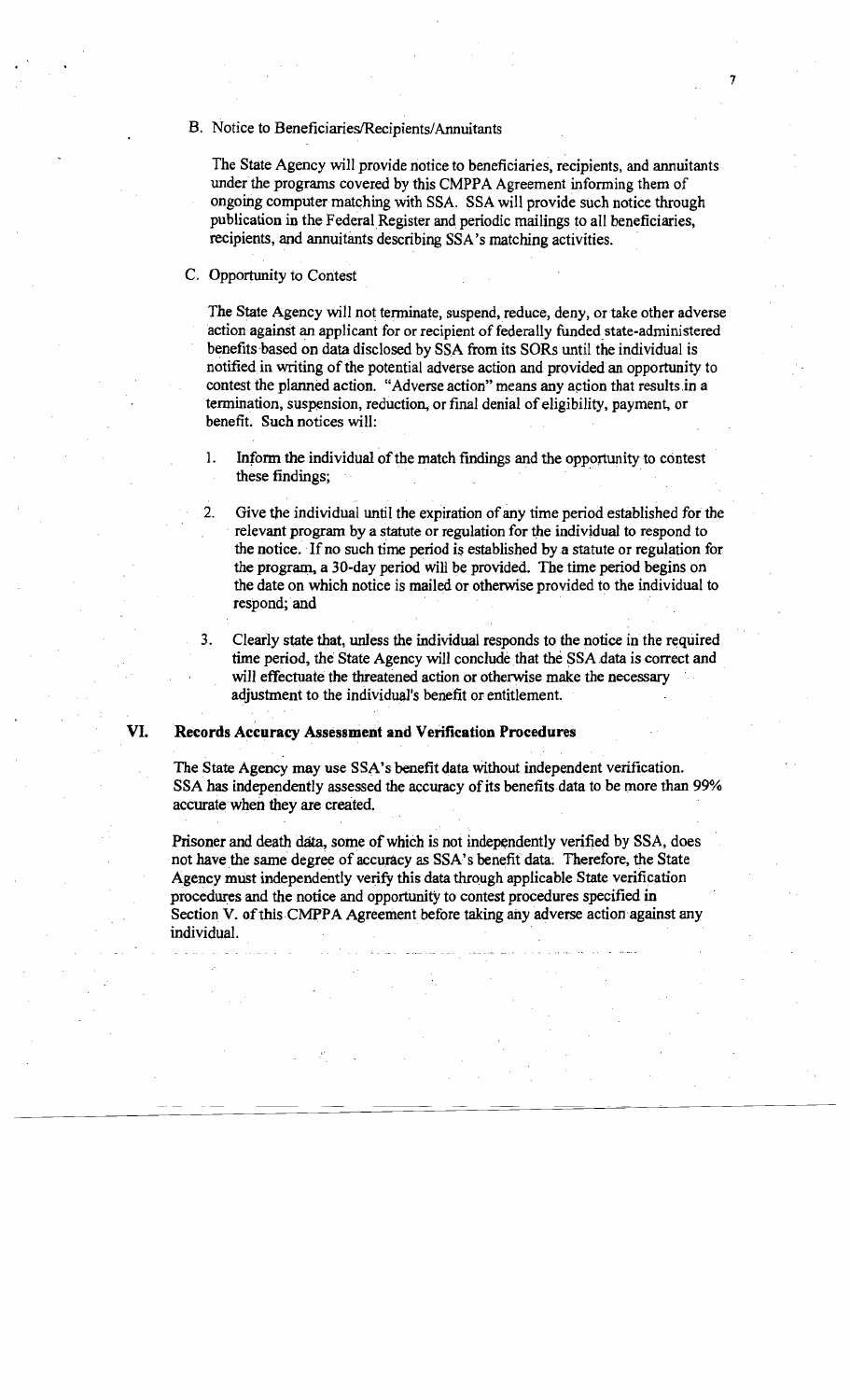#### B. Notice to Beneficiaries/Recipients/Annuitants

The State Agency will provide notice to beneficiaries, recipients, and annuitants under the programs covered by this CMPPA Agreement informing them of ongoing computer matching with SSA. SSA will provide such notice through publication in the Federal Register and periodic mailings to all beneficiaries, recipients, and annuitants describing SSA's matching activities.

7

#### C. Opportunity to Contest

The State Agency will not terminate, suspend, reduce, deny, or take other adverse action against an applicant for or recipient of federally funded state-administered benefits based on data disclosed by SSA from its SORs until the individual is notified in writing of the potential adverse action and provided an opportunity to contest the planned action. "Adverse action" means any action that results in a termination, suspension, reduction, or final denial ofeligibility, payment, or benefit. Such notices will:

- 1. Inform the individual of the match findings and the opportunity to contest Inform the individual of the match findings and the opportunity to these findings;
- 2. Give the individual until the expiration of any time period established for the . relevant program by a statute or regulation for the individual to respond to the notice. If no such time period is established by a statute or regulation for the program, a 30-day period wiH be provided. The time period begins on the date on which notice is mailed or otherwise provided to the individual to respond; and

.. .

Clearly state that, unless the individual responds to the notice in the required time period, the State Agency will conclude that the SSA data is correct and will effectuate the threatened action or otherwise make the necessary adjustment to the individual's benefit or entitlement.

## VI. Records Accuracy Assessment and Verification Procedures

.

The State Agency may use SSA's benefit data Without independent verification. SSA has independently assessed the accuracy of its benefits data to be more than 99% accurate when they are created.

Prisoner and death data, some of which is not independently verified by SSA, does not have the same degree of accuracy as SSA's benefit data. Therefore, the State Agency must independently verify this data through applicable State verification procedures and the notice and opportunity to contest procedures specified in Section V. of this CMPPA Agreement before taking any adverse action against any individual.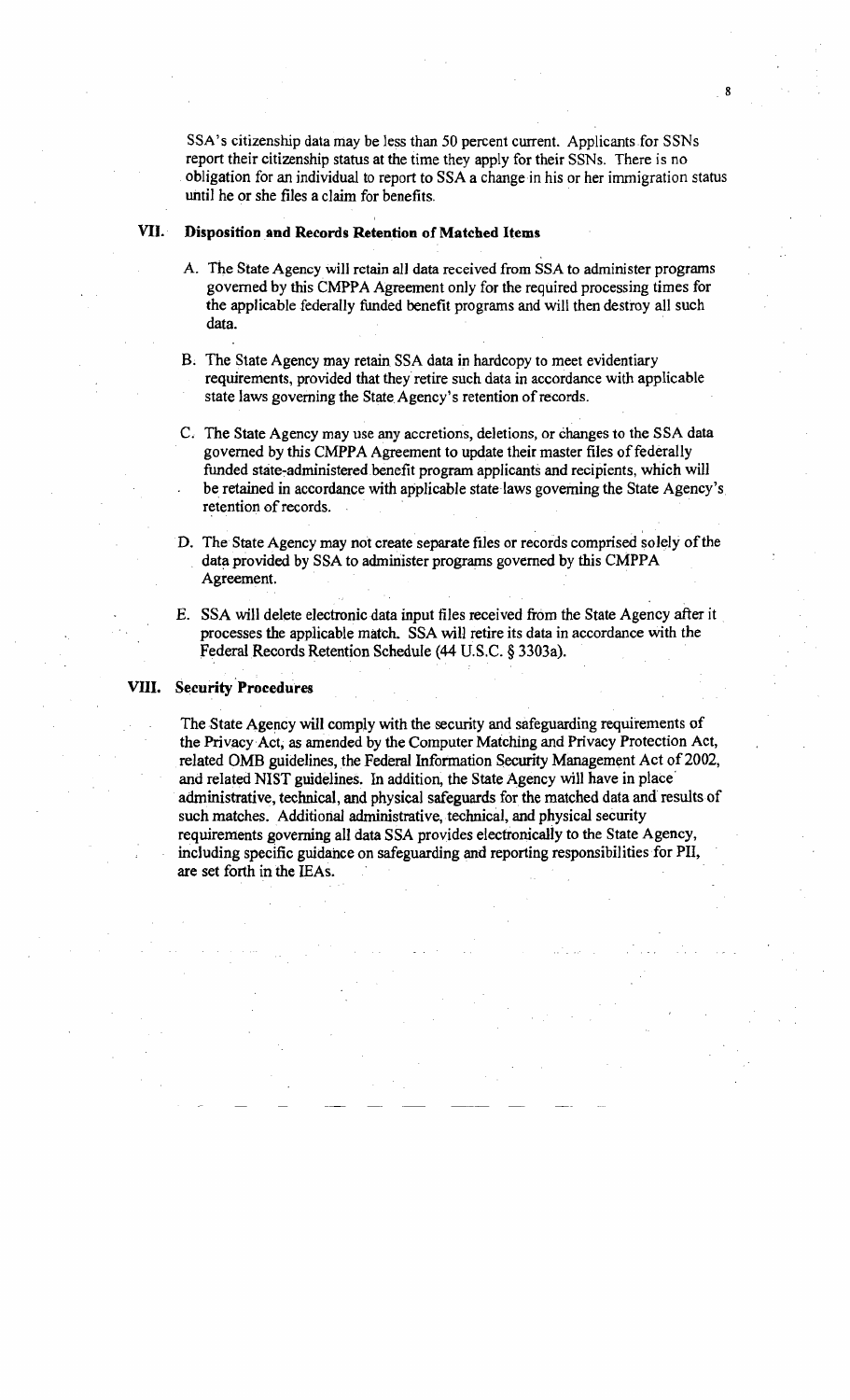SSA's citizenship data may be less than 50 percent current. Applicants for SSNs report their citizenship status at the time they apply for their SSNs. There is no obligation for an individual to report to SSA a change in his or her immigration status until he or she files a claim for benefits. .

#### VII. Disposition and Records Retention of Matched Items

- A. The State Agency will retain all data received from SSA to administer programs governed by this CMPPA Agreement only for the required processing times for the applicable federally funded benefit programs and will then destroy all such data. .
- B. The State Agency may retain SSA data in hardcopy to meet evidentiary requirements, provided that they retire such data in accordance with applicable state laws governing the State Agency's retention of records.
- C. The State Agency may use any accretions, deletions, or changesto the SSA data governed by this CMPPA Agreement to update their master files of federally funded state-administered.benefit program applicants and recipients, which will be retained in accordance with applicable state laws governing the State Agency's retention of records.
- D. The State Agency may not create separate files or records comprised solely of the data provided by SSA to administer programs governed by this CMPPA Agreement.
- E. SSA will delete electronic data input files received from the State Agency after it processes the applicable match. SSA will retire its data in accordance with the Federal Records Retention Schedule (44 U.S.C. § 3303a).

#### VIII. Security Procedures

The State Agency will comply with the security and safeguarding requirements of the Privacy Act, as amended by the Computer Matching and Privacy Protection Act, related OMB guidelines, the Federal Information Security Management Act of 2002, and related NIST guidelines. In addition, the State Agency will have in place' administrative, technical,and physical safeguards for the matched data and results of such matches. Additional administrative, technical, and physical security requirements governingall data SSA provides electronically to the State Agency, including specific guidance on safeguarding and reporting responsibilities for PII, are set forth in the IEAs.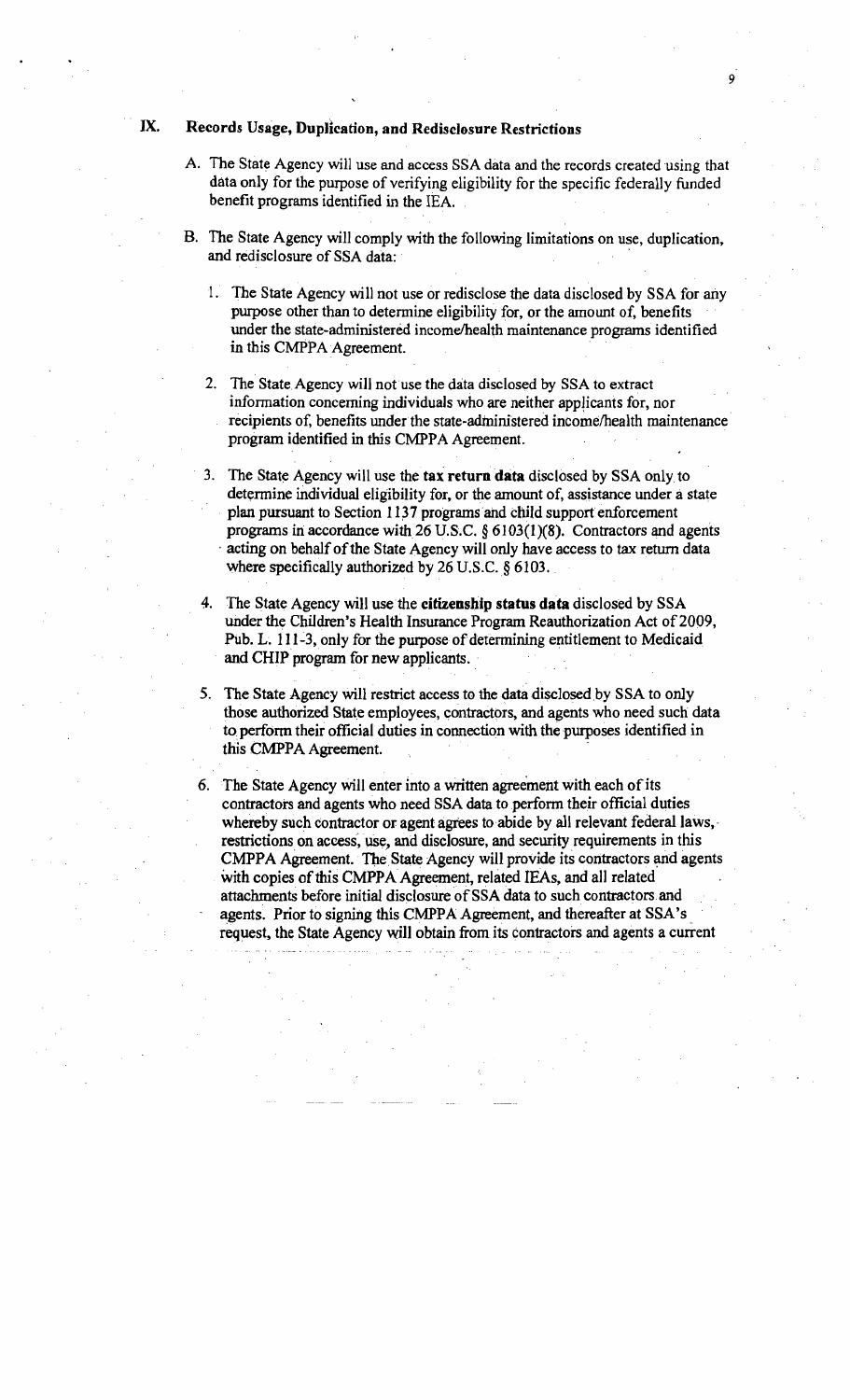## IX. Records Usage, Duplication, and Redisclosure Restrictions

A. The State Agency will use and access SSA data and the records created using that data only for the purpose of verifying eligibility for the specific federally funded benefit programs identified in the IEA.

9

- B. The State Agency will comply with the following limitations on use, duplication, and redisclosure of SSA data:
	- 1. The State Agency will not use or redisclose the data disclosed by SSA for any purpose other than to determine eligibility for, or the amount of, benefits under the state-administered income/health maintenance programs identified in this CMPPA Agreement.
	- 2. The State Agency will not use the data disclosed by SSA to extract information concerning individuals who are neither applicants for, nor recipients of, benefits under the state-administered income/health maintenance program identified in this CMPPA Agreement.
	- 3. The State Agency will use the tax return data disclosed by SSA only to determine individual eligibility for, or the amount of, assistance under a state plan pursuant to Section 1137 programs and child support enforcement programs in accordance with 26 U.S.C.  $\S 6103(1)(8)$ . Contractors and agents acting on behalf of the State Agency will only have access to tax return data where specifically authorized by 26 U.S.C. § 6103.
	- The State Agency will use the citizenship status data disclosed by SSA under the Children's Health Insurance Program Reauthorization Act of 2009, Pub. L. 111-3, only for the purpose of determining entitlement to Medicaid and CHIP program for new applicants.
	- 5. The State Agency will restrict access to the data disclosed by SSA to only those authorized State employees, contractors,and agents who need such data to perform their official duties in connection with the purposes identified in this CMPPA Agreement.

6. The State Agency will enter into a written agreement with each of its contractors and agents who need SSA data to perform their official duties whereby such contractor or agent agrees to abide by all relevant federal laws, restrictions on access, use, and disclosure, and security requirements in this CMPPA Agreement. The State Agency will provide its contractors and agents with copies of this CMPPA Agreement, related IEAs, and all related attachments before initial disclosure of SSA data to such contractors and agents. Prior to signing this CMPPA Agreement, and thereafter at SSA' s request. the State Agency will obtain from its contractors and agents a current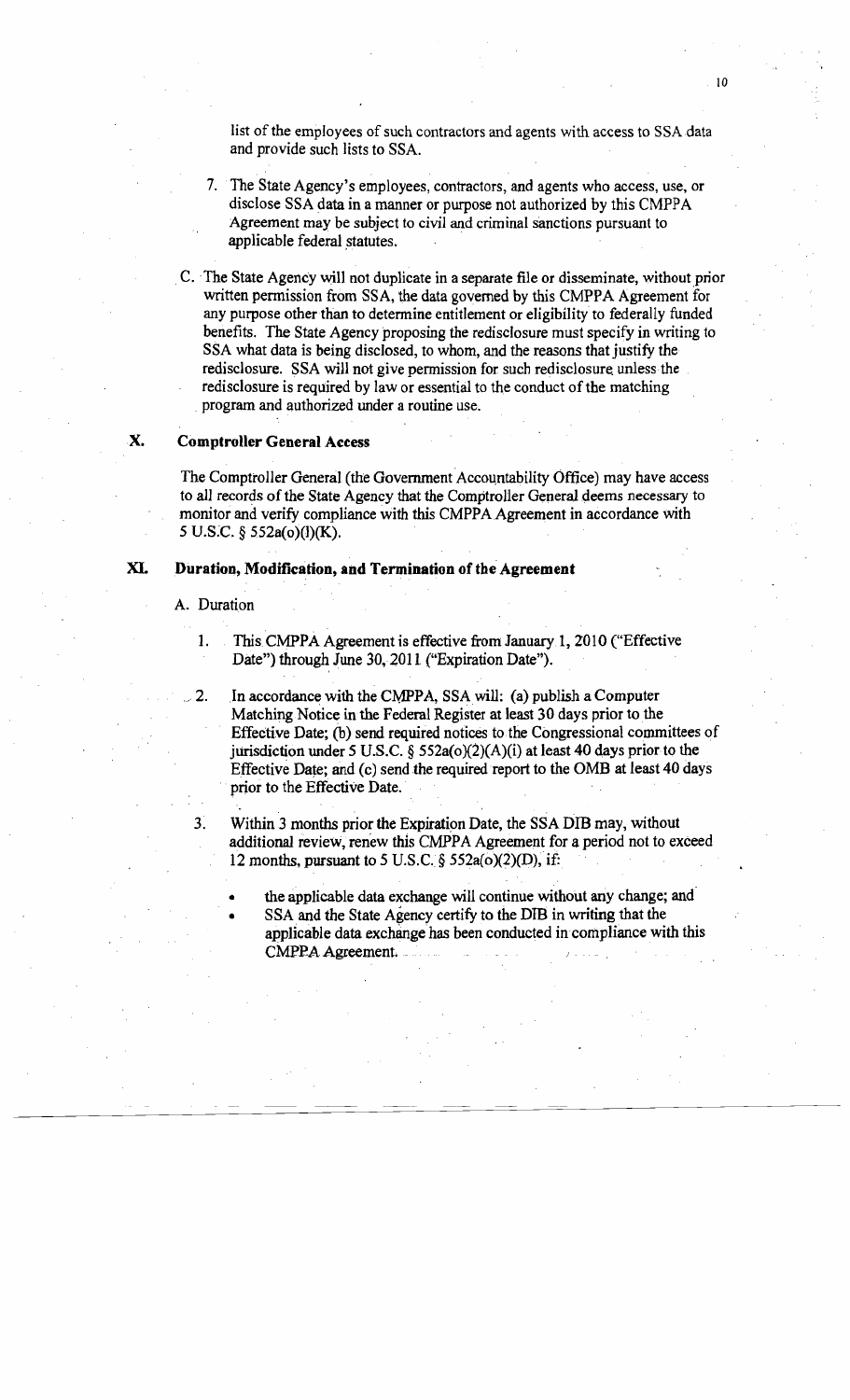list of the employees of such contractors and agents with access to SSA data and provide such lists to SSA.

- 7. The State Agency's employees, contractors, and agents who access, use, or disclose SSA data in a manner or purpose not authorized by this CMPPA Agreement may be subject to civil and criminal sanctions pursuant to applicable federal statutes.
- C.The State Agency will not duplicate in a separate file or disseminate, without prior written permission from SSA, the data governed by this CMPPA Agreement for any purpose other than to determine entitlement or eligibility to federally funded benefits. The State Agency proposing the redisclosure must specify in writing to SSA what data is being disclosed, to whom, and the reasons that justify the redisclosure. SSA will not give permission for such redisclosure unless the . rediscIosure is required by law or essential to the conduct of the matching . program and authorized under a routine use.

### X. Comptroller General Access

The Comptroller General (the Government Accountability Office) may have access to all records of the State Agency that the Comptroller General deems necessary to monitor and verify compliance with this CMPPA Agreement in accordance with 5 U.S:C. § 552a(o)(J)(K).

### XI. Duration, Modification, and Termination of the Agreement

#### A. Duration

1. This CMPPA Agreement is effective from January 1, 2010 ("Effective Date") through June 30, 2011 ("Expiration Date").

. .

- 2. In accordance with the CMPPA, SSA will: (a) publish a Computer Matching Notice in the Federal Register at least 30 days prior to the Effective Date; (b) send required notices to the Congressional committees of jurisdiction under 5 U.S.C. § 552a( $o$ )(2)(A)(i) at least 40 days prior to the Effective Date; and (c) send the required report to the OMB at least 40 days prior to the Effective Date.
- 3. Within 3 months prior the Expiration Date, the SSA DIB may, without additional review, renew this CMPPA Agreement for a period not to exceed 12 months, pursuant to 5 U.S.C.  $\S$  552a(o)(2)(D), if:
	- the applicable data exchange will continue without any change; and
	- SSA and the State Agency certify to the DIB in writing that the applicable data exchange has been conducted in compliance with this CMPPA Agreement.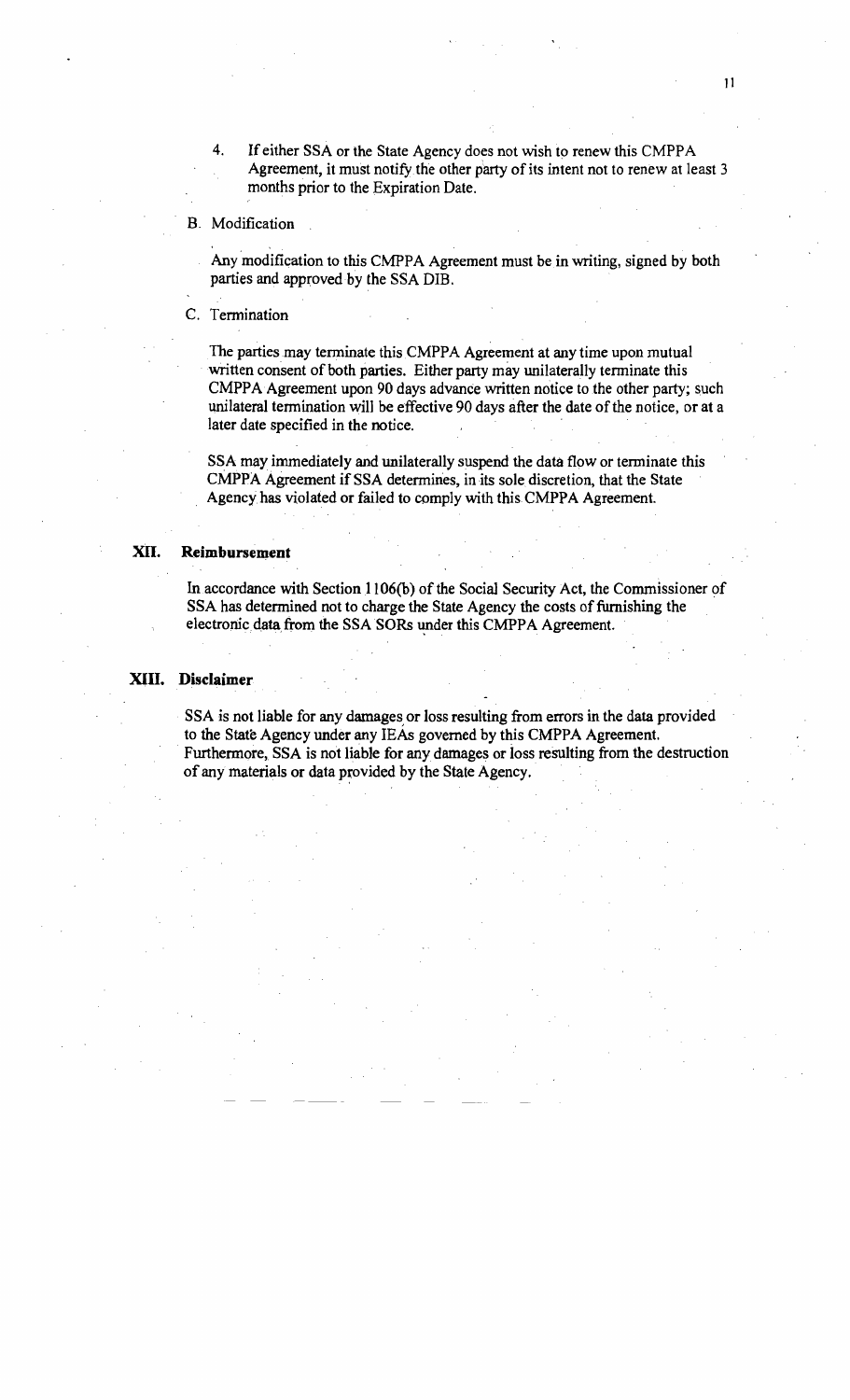4. If either SSA or the State Agency does not wish to renew this CMPPA Agreement, it must notify the other party of its intent not to renew at least 3 months prior to the Expiration Date.

#### B. Modification

Any modification to this CMPPA Agreement must be in writing, signed by both parties and approved by the SSA DIB.

c. Termination

The parties may terminate this CMPPA Agreement at any time upon mutual written consent of both parties. Either party may unilaterally terminate this CMPPA Agreement upon 90 days advance written notice to the other party; such unilateral termination will be effective 90 days after the date of the notice, or at a later date specified in the notice.

SSA may immediately and unilaterally suspend the data flow or terminate this CMPPA Agreement if SSA determines, in its sole discretion, that the State Agency has violated or failed to comply with this CMPPA Agreement.

#### XII. **Reimbursement**

In accordance with Section 1106(b) of the Social Security Act, the Commissioner of SSA has determined not to charge the State Agency the costs of furnishing the electronic data from the SSA SORs under this CMPPA Agreement.

#### XIII. **Disclaimer**

SSA is not liable for any damages or loss resulting from errors in the data provided to the State Agency under any IEAs governed by this CMPPA Agreement. . Furthermore, SSA is not liable for any damages or loss resulting from the destruction of any materials or data provided by the State Agency.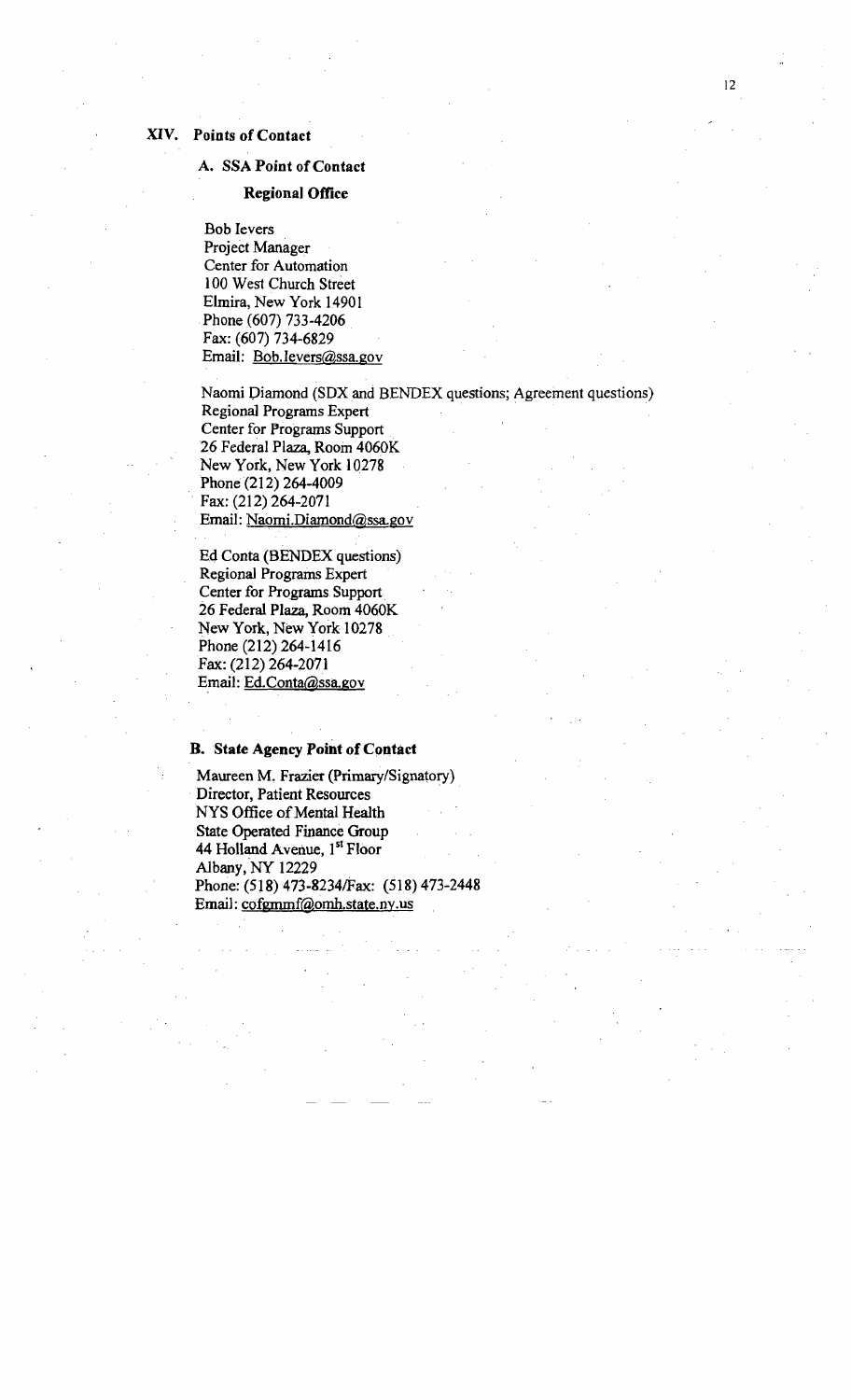#### XIV. Points of Contact

#### A. SSA Point of Contact

#### Regional Office

Bob levers Project Manager Center for Automation 100 West Church Street Elmira, New York 14901 .Phone (607) 733-4206 Fax: (607) 734-6829 Email: Bob.levers@ssa.gov

Naomi Diamond (SDX and BENDEX questions; Agreement questions) Regional Programs Expert Center for Programs Support 26 Federal Plaza, Room 4060K New York, New York 10278 Phone (212) 264-4009 . Fax: (212) 264-2071 Email: Naomi.Diamond@ssa.gov

E4 Conta (BENDEX questions) Regional Programs Expert Center for Programs Support. 26 Federal Plaza, Room 4060K New York, New York 10278 Phone (212) 264-1416 Fax:(212) 264-2071 Email: Ed.Conta@ssa.gov

#### B. State Agency Point of Contact

Maureen M. Frazier (Primary/Signatory) Director, Patient Resources . NYS Office of Mental Health State Operated Finance Group 44 Holland Avenue, 1<sup>st</sup> Floor Albany, NY 12229 Phone: (518) 473-8234/Fax: (518) 473-2448 Email: cofgmrnf@ornh.state.ny.us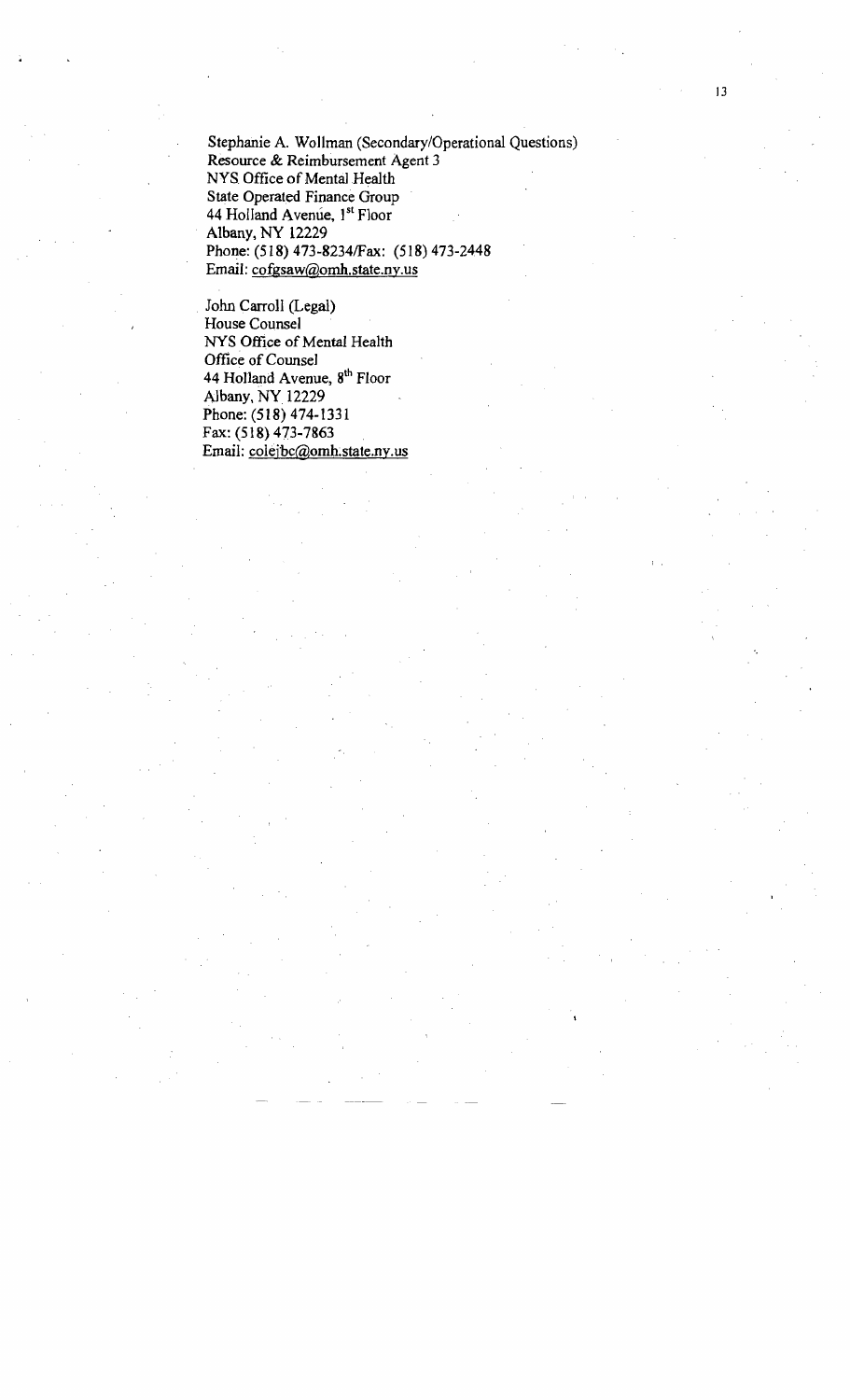Stephanie A. Wollman (Secondary/Operational Questions) Resource & Reimbursement Agent 3 NYS Office of Mental Health State Operated Finance Group 44 Holland Avenue, l<sup>st</sup> Floor Albany, NY 12229 Phone: (518) 473-8234/Fax: (518) 473-2448 Email: cofgsaw@omh.state.ny.us

John Carroll (Legal) House Counsel NYS Office of Mental Health Office of *Counsel*  44 Holland Avenue, 8<sup>th</sup> Floor Albany, NY 12229 Phone: (518) 474-1331 Fax: (518) 473-7863 Email: colejbc@omh.state.ny.us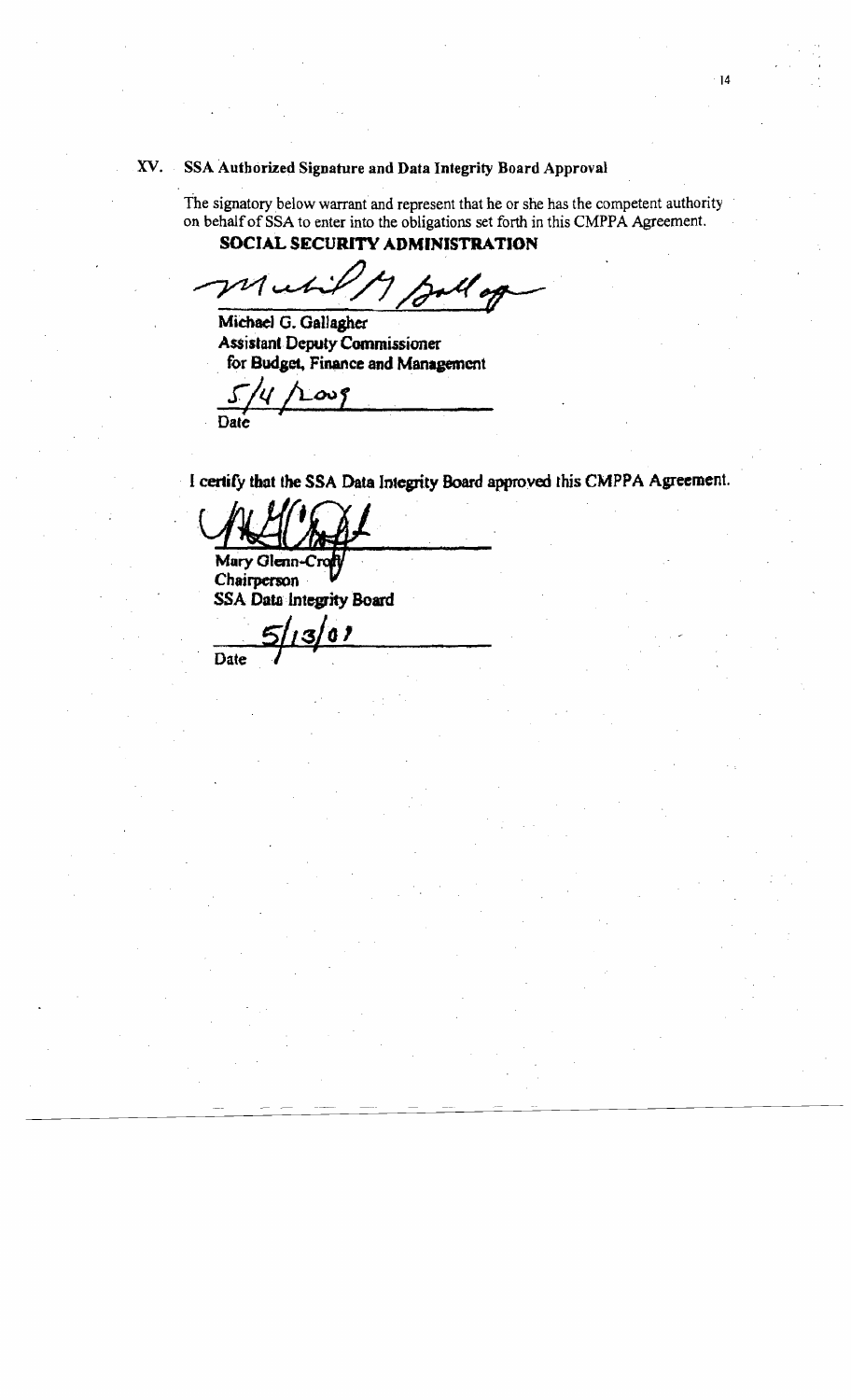## xv. SSA Authorized Signature and Data Integrity Board Approval

The signatory below warrant and represent that he or she has the competent authority on behalf of SSA to enter into the obligations set forth in this CMPPA Agreement. SOCIAL SECURITY ADMINISTRATION

 $\nu$ *r* 

Michael G. Gallaghet Assistant. DeputyCommissioner **.** for Budget, Finance and Management

 $5/4$  /Loug Date

I certify that the SSA Data Integrity Board approved this CMPPA Agreement.

Mary Glenn-C

Chairperson' . ľ SSA Data Integrity Board

.. *5j.zr44 '*  **Date**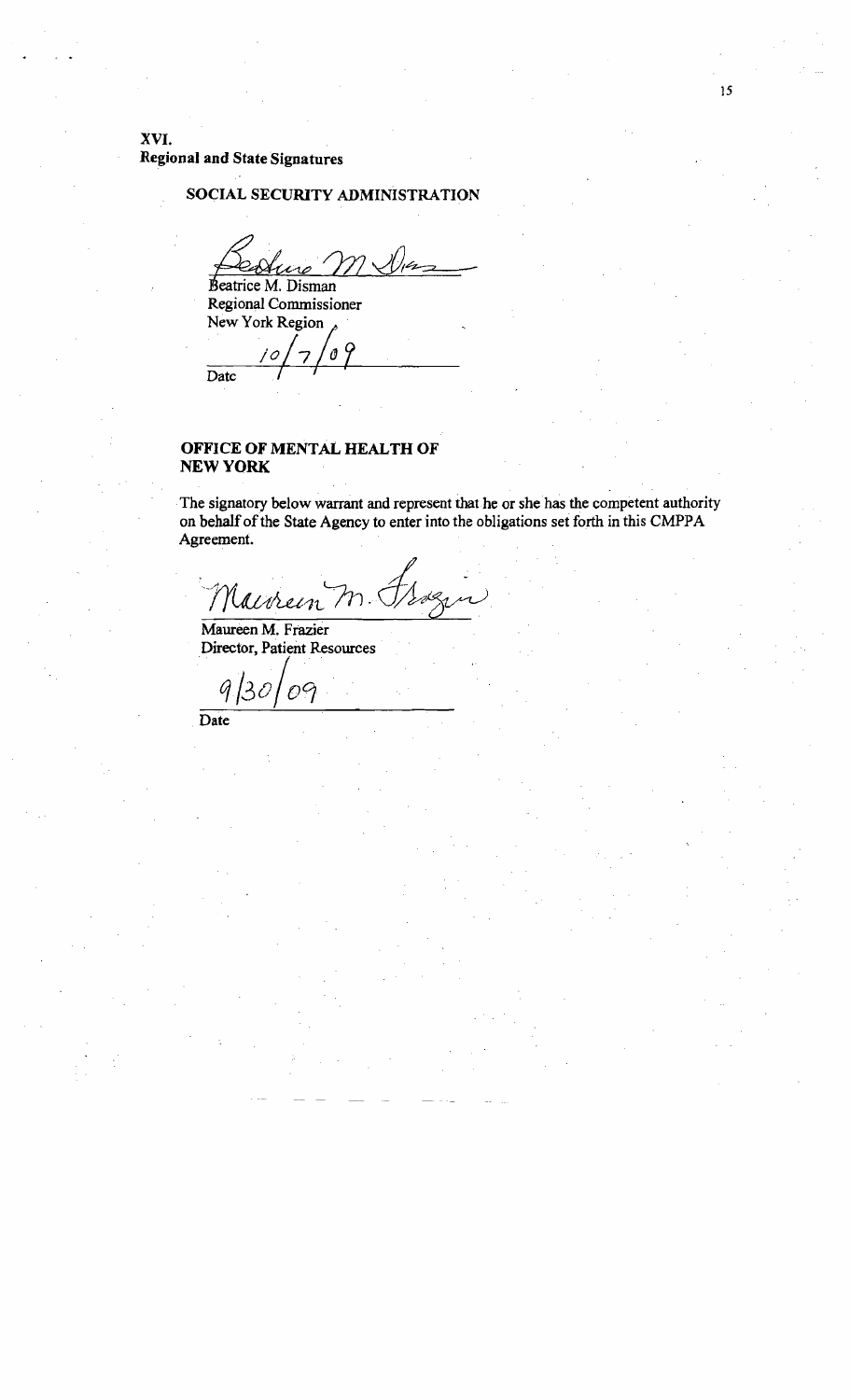XVI. **Regional and State Signatures** 

## SOCIAL SECURITY ADMINISTRATION

Beatrice M. Disman<br>Regional Commissioner New York Region

9  $\boldsymbol{\theta}$ '0  $\overline{Date}$ 

## OFFICE OF MENTAL HEALTH OF **NEW YORK**

The signatory below warrant and represent that he or she has the competent authority on behalf of the State Agency to enter into the obligations set forth in this CMPPA Agreement.

Naivrein  $\gamma$  .

Maureen M. Frazier **Director, Patient Resources** 

G 09

 $\overline{Date}$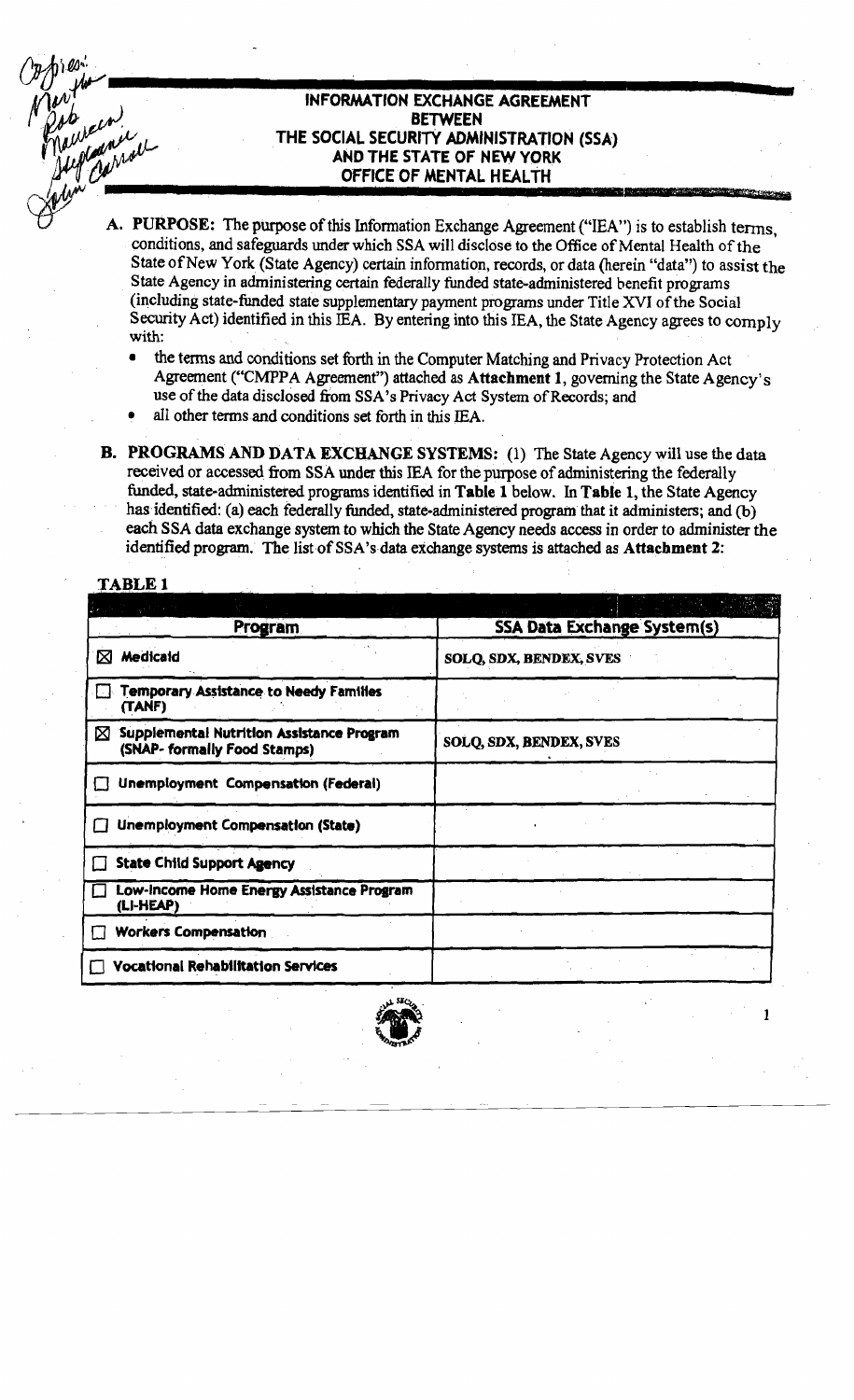## INFORMATION EXCHANGE AGREEMENT **BETWEEN** THE SOCIAL SECURITY ADMINISTRATION (SSA) AND THE STATE OF NEW YORK OFFICE OF MENTAL HEALTH

- A. PURPOSE: The purpose of this Information Exchange Agreement ("IEA") is to establish terms, conditions, and safeguards under which SSA will disclose to the Office of Mental Health of the State of New York (State Agency) certain information, records, or data (herein "data") to assist the State Agency in administering certain federally funded state-administered benefit programs (including state-funded state supplementary payment programs under Title XVI of the Social Security Act) identified in this IEA. By entering into this IEA, the State Agency agrees to comply with:
	- the terms and conditions set forth in the Computer Matching and Privacy Protection Act Agreement ("CMPPA Agreement") attached as Attachment 1, governing the State Agency's use of the data disclosed from SSA's Privacy Act System of Records; and
	- all other terms and conditions set forth in this IEA.
- **B. PROGRAMS AND DATA EXCHANGE SYSTEMS:** (1) The State Agency will use the data received or accessed from SSA under this IEA for the purpose of administering the federally funded, state-administered programs identified in Table 1 below. In Table 1, the State Agency has identified: (a) each federally funded, state-administered program that it administers; and (b) each SSA data exchange system to which the State Agency needs access in order to administer the identified program. The list of SSA's data exchange systems is attached as Attachment 2:

## **TABLE 1**

| Program                                                                        | <b>SSA Data Exchange System(s)</b> |
|--------------------------------------------------------------------------------|------------------------------------|
| Medicaid<br>⊠                                                                  | SOLQ, SDX, BENDEX, SVES            |
| Temporary Assistance to Needy Families<br>(TANF)                               |                                    |
| Supplemental Nutrition Assistance Program<br>⊠<br>(SNAP- formally Food Stamps) | SOLQ, SDX, BENDEX, SVES            |
| Unemployment Compensation (Federal)                                            |                                    |
| Unemployment Compensation (State)                                              |                                    |
| <b>State Child Support Agency</b>                                              |                                    |
| Low-Income Home Energy Assistance Program<br>(LI-HEAP)                         |                                    |
| <b>Workers Compensation</b>                                                    |                                    |
| <b>Vocational Rehabilitation Services</b>                                      |                                    |
|                                                                                |                                    |

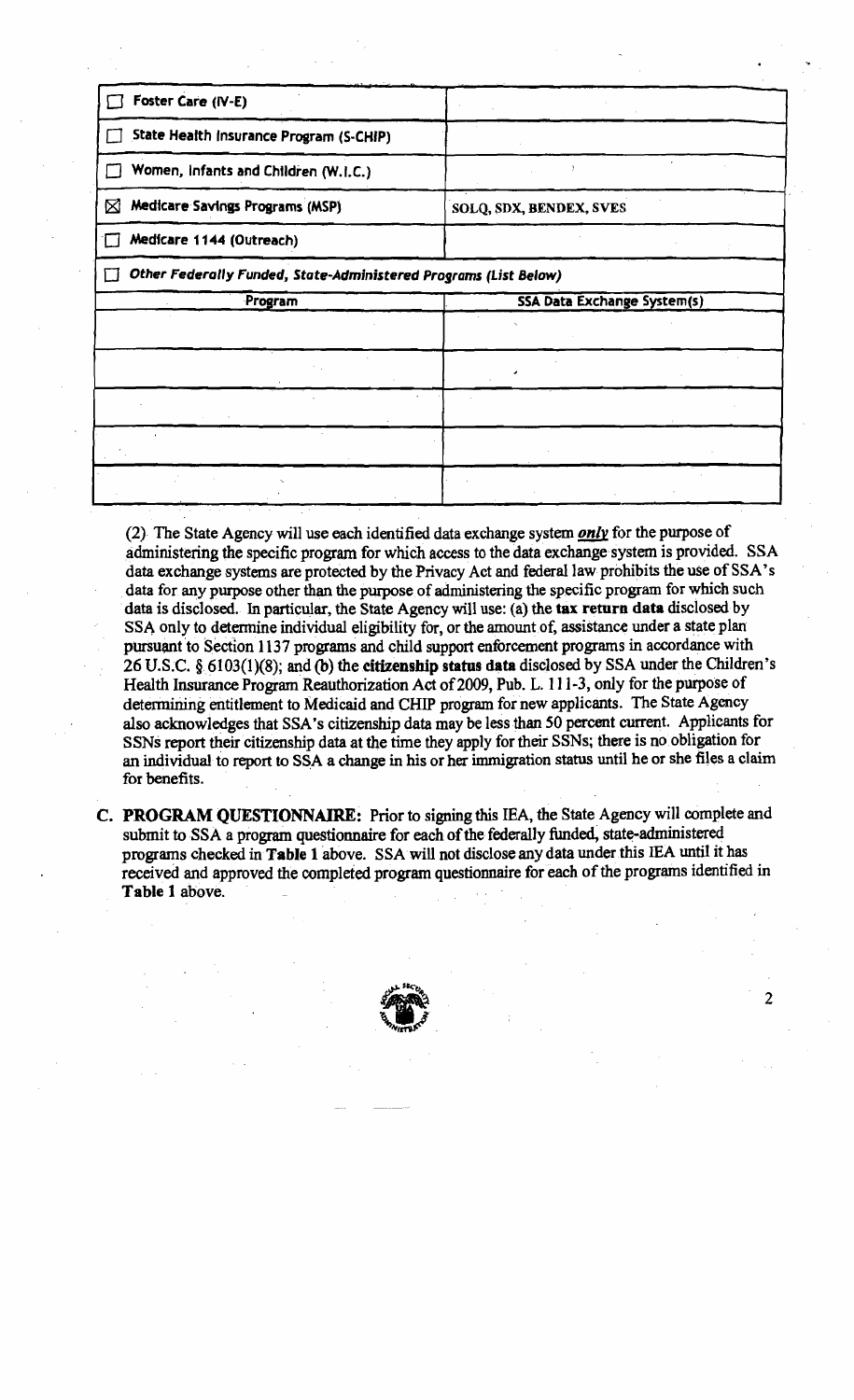| Foster Care (IV-E)                                               |                                    |
|------------------------------------------------------------------|------------------------------------|
| State Health Insurance Program (S-CHIP)                          |                                    |
| Women, Infants and Children (W.I.C.)                             |                                    |
| Medicare Savings Programs (MSP)<br>⊠                             | SOLQ, SDX, BENDEX, SVES            |
| Medicare 1144 (Outreach)                                         |                                    |
| Other Federally Funded, State-Administered Programs (List Below) |                                    |
|                                                                  |                                    |
| Program                                                          | <b>SSA Data Exchange System(s)</b> |
|                                                                  |                                    |
|                                                                  |                                    |
|                                                                  |                                    |
|                                                                  |                                    |

(2) The State Agency will use each identified dataexchange system *only* for the purposeof administering the specific program for which access to the data exchange system is provided. SSA data exchange systems are protected by the Privacy Act and federal law prohibits the use of SSA's data for any purpose other than the purpose of administering the specific program for which such data is disclosed. In particular, the State Agency will use: (a) the tax return data disclosed by SSA only to determine individual eligibility for, or the amount of, assistance under a state plan pursuant to Section 1137 programs and child support enforcement programs in accordance with 26 U.S.C. § 6103(1)(8); and (b) the citizenship status data disclosed by SSA under the Children's Health Insurance Program Reauthorization Act of 2009, Pub. L. 111-3, only for the purpose of detennining entitlement to Medicaid and CHIP program for new applicants. The State Agency also acknowledges that SSA's citizenship data may be less than 50 percent current. Applicants for SSNs report their citizenship data at the time they apply for their SSNs; there is no obligation for an individual to report to SSA a change in his or her immigration status until he or she files a claim for benefits.

C. PROGRAM QUESTIONNAIRE: Prior to signing this IEA, the State Agency will complete and submit to SSA a program questionnaire for each of the federally funded, state-administered programs checked in Table 1 above. SSA will not disclose any data under this IEA until it has received and approved the completed program questionnaire for each of the programs identified in Table 1 above.

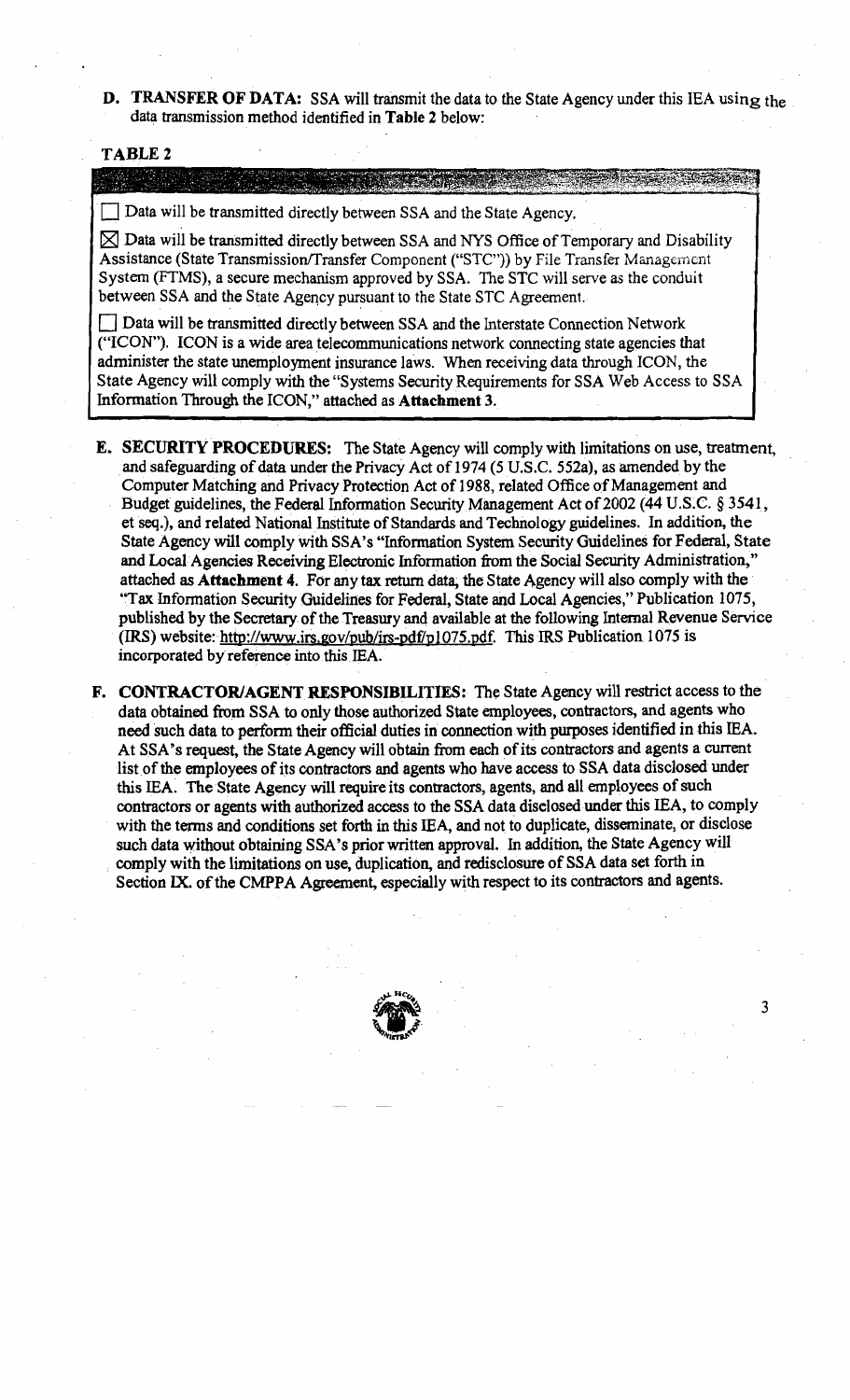D. TRANSFER OF DATA: SSA will transmit the data to the State Agency under this IEA using the data transmission method identified in Table 2 below:

#### TABLE 2

#### 

 $\Box$  Data will be transmitted directly between SSA and the State Agency.

 $\boxtimes$  Data will be transmitted directly between SSA and NYS Office of Temporary and Disability Assistance (State Transmission/Transfer Component ("STC")) by File Transfer Management System (FTMS), a secure mechanism approved by SSA. The STC will serve *as* the conduit between SSA and the State Agency pursuant to the State STC Agreement.

Data will be transmitted directly between SSA and the Interstate Connection Network ("ICON"). ICON is a wide area telecommunications network connecting state agencies that administer the state unemployment insurance laws. When receiving data through ICON, the State Agency will comply with the "Systems Security Requirements for SSA Web Access to SSA Information Through the ICON," attached as Attachment 3.

- **E. SECURITY PROCEDURES:** The State Agency will comply with limitations on use, treatment, and safeguarding of data under the Privacy Act of 1974 (5 U.S.C. 552a), as amended by the Computer Matching and Privacy Protection Act of 1988, related Office of Management and Budget guidelines, the Federal Information Security Management Act of 2002 (44 U.S.C. § 3541, et seq.), and related National Institute of Standards and Technology guidelines. In addition, the State Agency will comply with SSA's "Information System Security Guidelines for Federal, State and Local-Agencies Receiving Electronic Information from the Social Security Administration," attached as Attachment 4. For any tax return data, the State Agency will also comply with the "Tax Information Security Guidelines for Federal, State and Local Agencies," Publication 1075, published by the Secretary of the Treasury and available at the following Internal Revenue Service (IRS) website: http://www.irs.gov/pub/irs-pdf/p1075.pdf. This IRS Publication 1075 is incorporated by reference into this IEA.
- F. CONTRACTOR/AGENT RESPONSIBILITIES: The State Agency will restrict access to the data obtained from SSA to only those authorized State employees, contractors, and agents who need such data to perform their official duties in connection with purposes identified in this lEA. At SSA's request, the State Agency will obtain from each of its contractors and agents a current list of the employees of its contractors and agents who have access to SSA data disclosed under this lEA: The State Agency will require its contractors, agents, and all employees of such contractors or agents with authorized access to the SSA data disclosed under this lEA, to comply with the terms and conditions set forth in this lEA, and not to duplicate, disseminate, or disclose such data without obtaining SSA's prior written approval. In addition, the State Agency will . comply with the limitations on use, duplication, and redisclosure of SSA data set forth in Section IX. of the CMPPA Agreement, especially with respect to its contractors and agents.

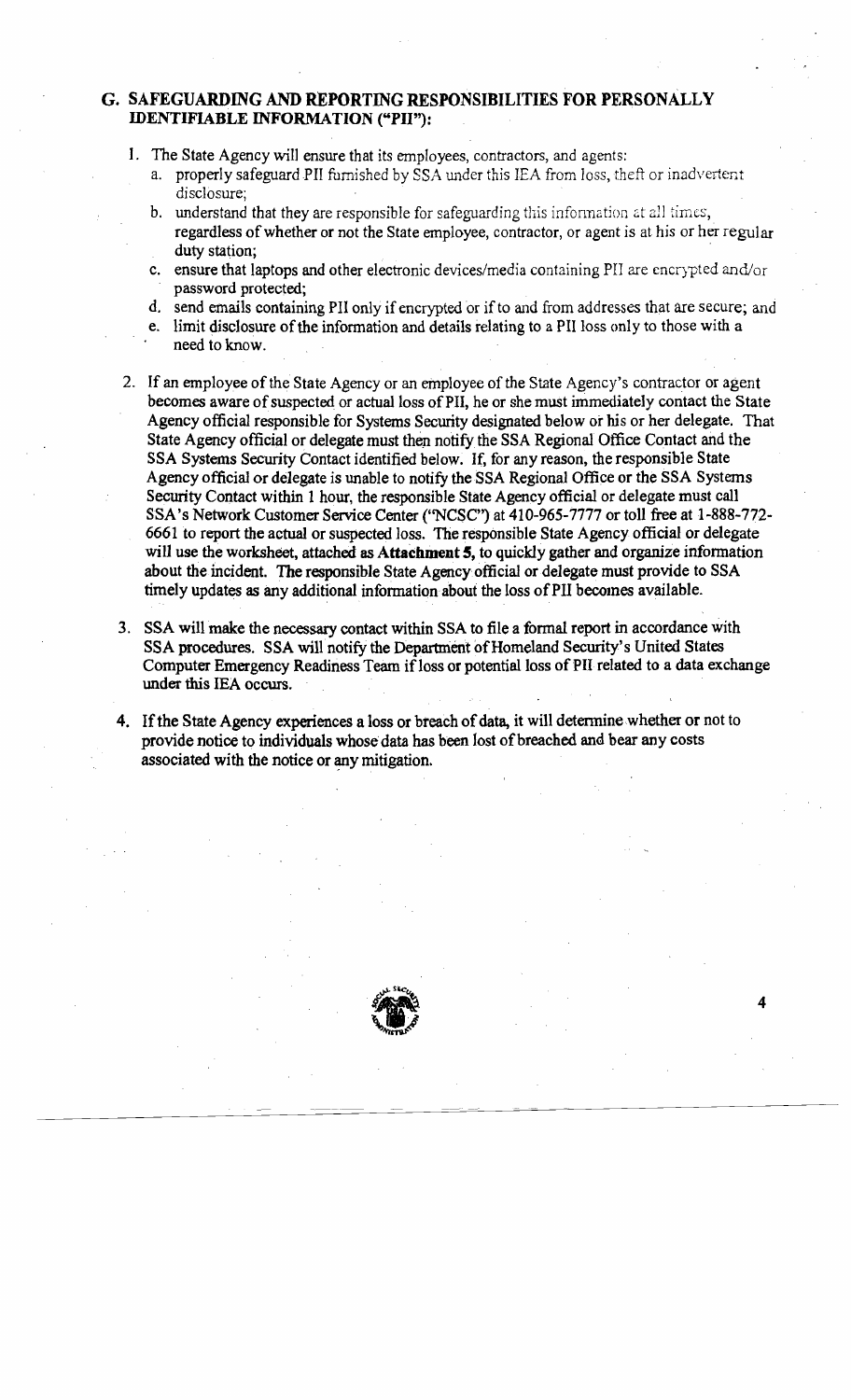## G. SAFEGUARDING AND REPORTING RESPONSIBILITIES FOR PERSONALLY IDENTIFIABLE INFORMATION ("PH"):

- 1. The State Agency will ensure that its employees, contractors, and agents:
	- a. properly safeguard PII furnished by SSA under this IEA from loss, theft or inadvertent disclosure;
	- b. understand that they are responsible for safeguarding this information at all times, regardless of whether or not the State employee, contractor, or agent is at his or her regular duty station;
	- c. ensure that laptops and other electronic devices/media containing PH are encrypted and/or password protected;
	- d. send emails containing PH only if encrypted or if to and from addresses that are secure; and
	- e. limit disclosure of the information and details relating to a PII loss only to those with a need to know.
- 2. If an employee of the State Agency or an employee of the State Agency's contractor or agent becomes aware of suspected or actual loss of PII, he or she must immediately contact the State Agency official responsible for Systems Security designated below or his or her delegate. That State Agency official or delegate must then notify the SSA Regional Office Contact and the SSA Systems Security Contact identified below. If, for any reason, the responsible State Agency official or delegate is unable to notify theSSA Regional Office or the SSA Systems Security Contact within 1 hour, the responsible State Agency official or delegate must call SSA 's Network Customer Service Center (''NCSC'') at 410-965-7777 or toll free at 1-888-772 6661 to report the actual or suspected loss. The responsible State Agency official or delegate will use the worksheet, attached as Attachment 5, to quickly gather and organize information about the incident. The responsible State Agency official or delegate must provide to SSA timely updates as any additional information about the loss of PII becomes available.
- 3. SSA will make the necessary contact within SSA to file a formal report in accordance with SSA procedures. SSA will notify the Department of Homeland Security's United States Computer Emergency Readiness Team if loss or potential loss of PII related to a data exchange under this lEA occurs.
- 4. If the State Agency experiences a loss or breach of data, it will determine whether or not to provide notice to individuals whose data has been lost of breached and bear any costs associated with the notice or any mitigation.

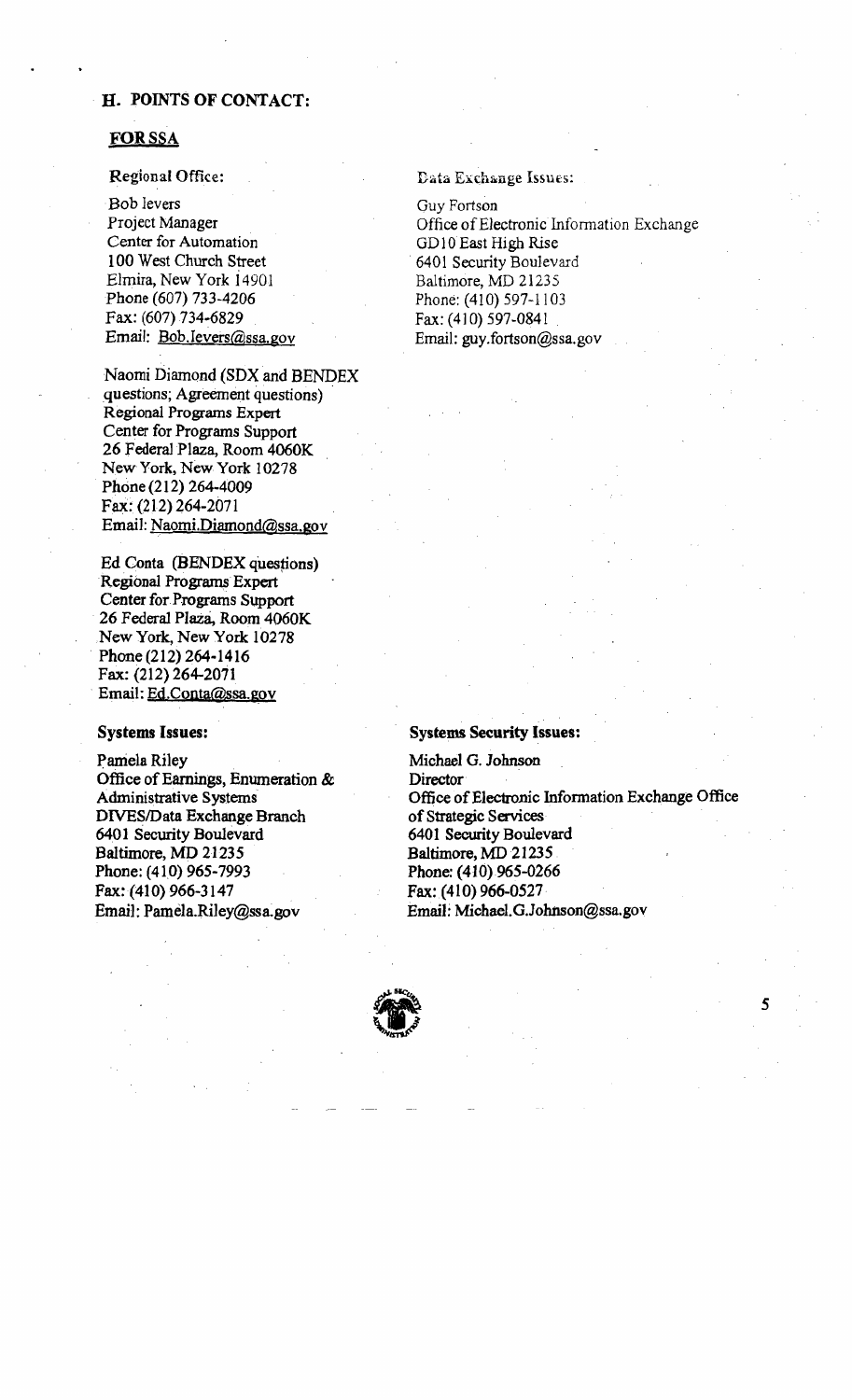## . H. POINTS OF CONTACT:

### FORSSA

#### Regional Office:

·Bob levers Project Manager Center for Automation 100 West Church Street Elmira, New York i4901 Phone (607) 733-4206 Fax: (607) 734-6829 Email: Bob.Jevers@ssa.gov

Naomi Diamond (SDX and BENDEX questions; Agreement questions) . Regional Programs Expert Center for Programs Support 26 Federal Plaza, Room 4060K New York, New York 10278 Phone (212) 264-4009 FaX: (212) 264-2071 Email: Naomi.Diamond@ssa.gov

Ed Conta (BENDEX questions) Regional Programs Expert Center for Programs Support 26 Federal Plaza, Room 4060K New York, New York 10278 . Phone (212) 264-1416 Fax: (212) 264-2071 . Email: Ed.Conta@ssa.gov

#### Systems Issues:

Pamela Riley Office of Earnings, Enumeration  $\&$ Administrative Systems DIVES/Data Exchange Branch 6401 Security Boulevard Baltimore, MD 21235 Phone: (410) 965-7993 Fax= (410) 966-3147 Email: Pamela.RiJey@ssa.gov

Data Exchange Issues:

Guy Fortson Office of Electronic Information Exchange GD10 East High Rise . 6401 Security Boulevard Baltimore, MD 21235 Phone: (410) 597-1103 Fax: (410) 597-0841 . Email: guy.fortson@ssa.gov

#### Systems Security Issues:

Michael G. Johnson **Director** Office of Electronic Information Exchange Office of Strategic Services 6401 Security Boulevard Baltimore, MD 21235. Phone: (410).965-0266 Fax: (410) 966-0527· Email:Michael.GJohnson@ssa.gov

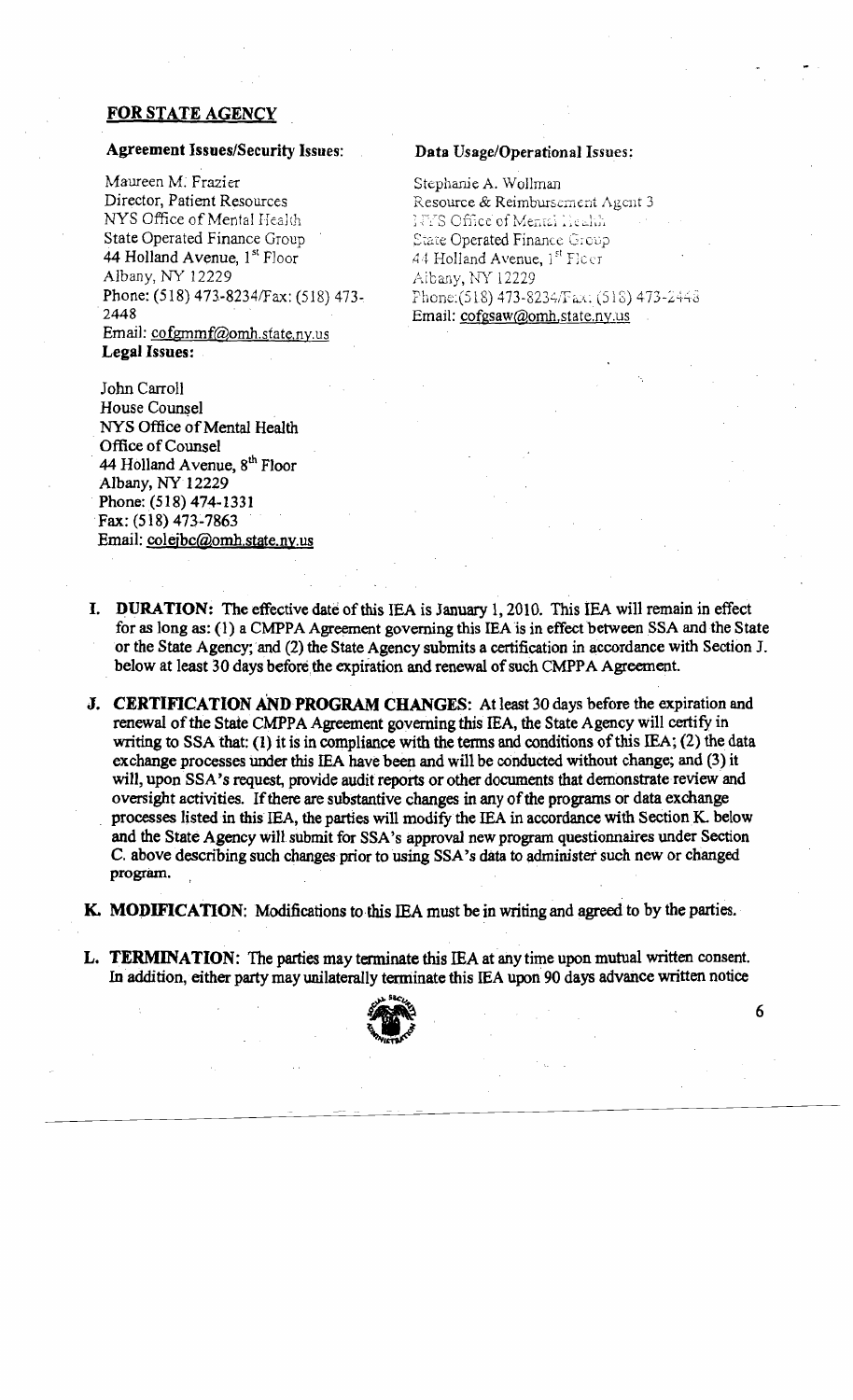## FOR STATE AGENCY

## Agreement Issues/Security Issues: Data Usage/Operational Issues:

Maureen M. Frazier Stephanie A. Wollman<br>Director, Patient Resources Resource & Reimburse Director, Patient Resources Resource & Reimbursement Agent 3 NYS Office of Mental Health<br>State Operated Finance Group State Operated Finance Group<br> **44 Holland Avenue, 1<sup>st</sup> Floor**<br> **44 Holland Avenue, 1<sup>st</sup> Floor**<br> **44 Holland Avenue, 1<sup>st</sup> Floor 44 Holland Avenue,**  $1^{st}$  **Floor** 44 Holland Avenue,  $1^{st}$  Ficer<br>Albany, NY 12229 Albany, NY 12229 Phone: (518) 473-8234/Fax: (518) 473-<br>2448 Email: cofgmmf@omh.state.ny.us Legal Issues:

John Carroll House Counsel NYS Office of Mental Health Office of Counsel 44 Holland Avenue,  $8<sup>th</sup>$  Floor Albany, NY 12229 Phone:(518) 474-1331 Fax: (518) 473-7863 Email: colejbc@omh.state.ny.us

**1778 Office of Mental Health** Albany, NY 12229 Phone:(518) 473-8234/Fax: (518) 473-2448 Email: cofgsaw@omh.state.ny.us

- I. DURATION: The effective date of this IEA is January 1, 2010. This IEA will remain in effect for as long as: (1) a CMPPA Agreement governing this IEA is in effect between SSA and the State or the State Agency;'and (2) the State Agency submits a certification in accordancewith Section J. below at least 30 days before the expiration and renewal of such CMPPA Agreement.
- J. CERTIFICATION AND PROGRAM CHANGES: At least 30 days before the expiration and renewal of the State CMPPA Agreement governing this IEA, the State Agency will certify in writing to SSA that: (1) it is in compliance with the terms and conditions of this IEA; (2) the data exchange processes under this IEA have been and will be conducted without change; and (3) it will, upon SSA's request, provide audit reports or other documents that demonstrate review and oversight activities. If there are substantive changes in any of the programs or data exchange processes listed in this IEA, the parties will modify the IEA in accordance with Section K, below and the State Agency will submit for SSA's approval new program questionnaires under Section C. above describing such changes prior to using SSA's data to administer such new or changed program. ,
- K. MODIFICATION: Modifications to this IEA must be in writing and agreed to by the parties.
- L. TERMINATION: The parties may terminate this IEA at any time upon mutual written consent. In addition, either party may unilaterally terminate this IEA upon 90 days advance written notice

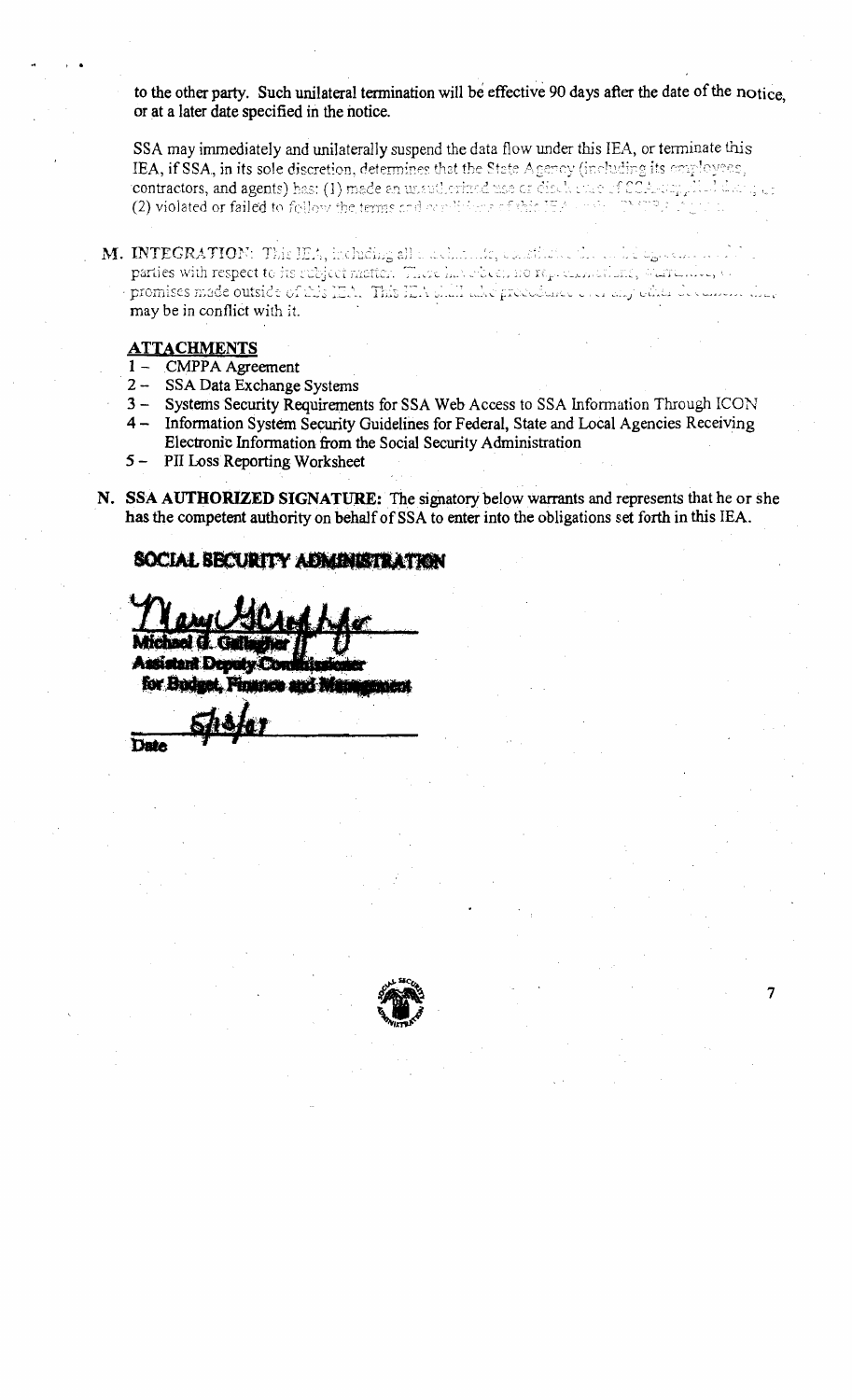to the other party. Such unilateral termination will be effective 90 days after the date of the notice. or at a later date specified in the notice.

SSA may immediately and unilaterally suspend the data flow under this IEA, or terminate this IEA, if SSA, in its sole discretion, determines that the State Agency (including its employees, contractors, and agents) has: (1) made an unautherized use or disclosure of SCA-scription titang up (2) violated or failed to follow the terms and conditions of this IEA.

 $\bf M.$  INTEGRATION: This IEA, including all a actionate, exactively. The analogoean proof parties with respect to its subject motion. There has obegin no representations, warrantee, to promises made outside of this IEA. This IEA shift also procedured over any other decement that may be in conflict with it.

## **ATTACHMENTS**

- 1 CMPPA Agreement
- $2-$ SSA Data Exchange Systems
- $3 -$ Systems Security Requirements for SSA Web Access to SSA Information Through ICON 4 - Information System Security Guidelines for Federal, State and Local Agencies Receiving Electronic Information from the Social Security Administration
- $5 -$ PII Loss Reporting Worksheet
- N. SSA AUTHORIZED SIGNATURE: The signatory below warrants and represents that he or she has the competent authority on behalf of SSA to enter into the obligations set forth in this IEA.

## SOCIAL BECURITY ADMINISTRATION

for Bodget. Finance and Mar

Date